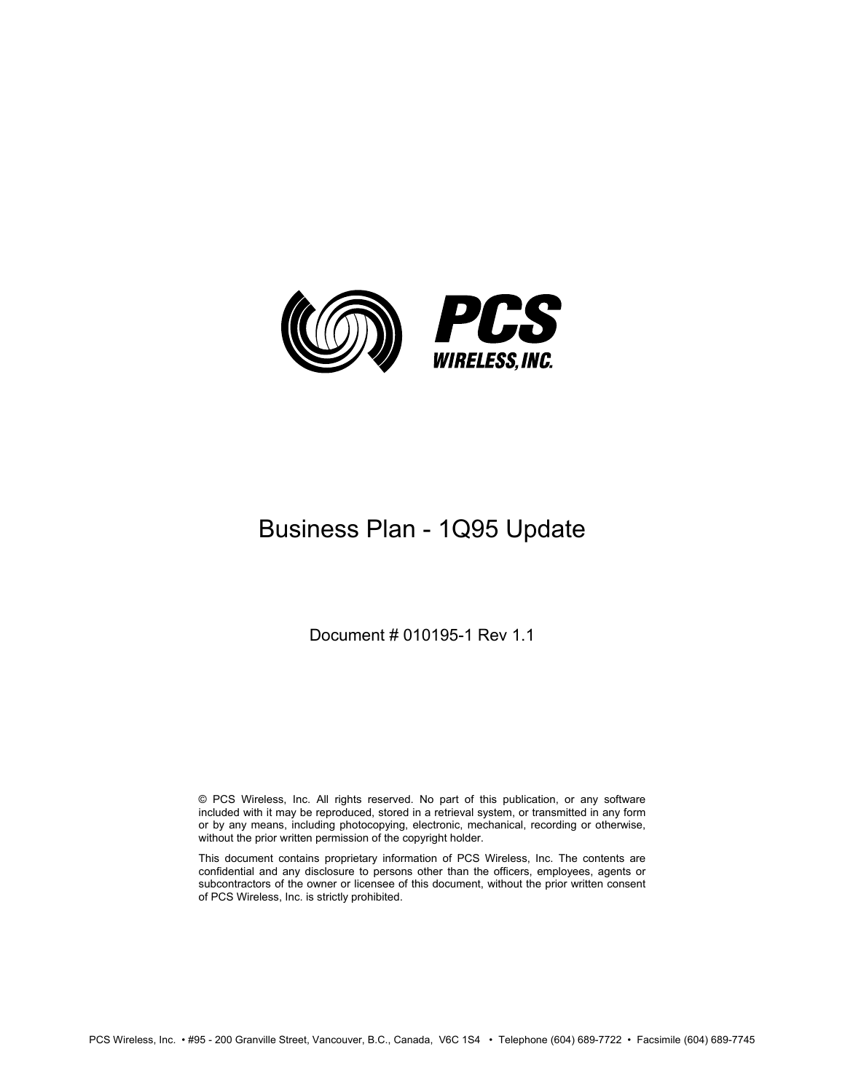

# Business Plan - 1Q95 Update

Document # 010195-1 Rev 1.1

© PCS Wireless, Inc. All rights reserved. No part of this publication, or any software included with it may be reproduced, stored in a retrieval system, or transmitted in any form or by any means, including photocopying, electronic, mechanical, recording or otherwise, without the prior written permission of the copyright holder.

This document contains proprietary information of PCS Wireless, Inc. The contents are confidential and any disclosure to persons other than the officers, employees, agents or subcontractors of the owner or licensee of this document, without the prior written consent of PCS Wireless, Inc. is strictly prohibited.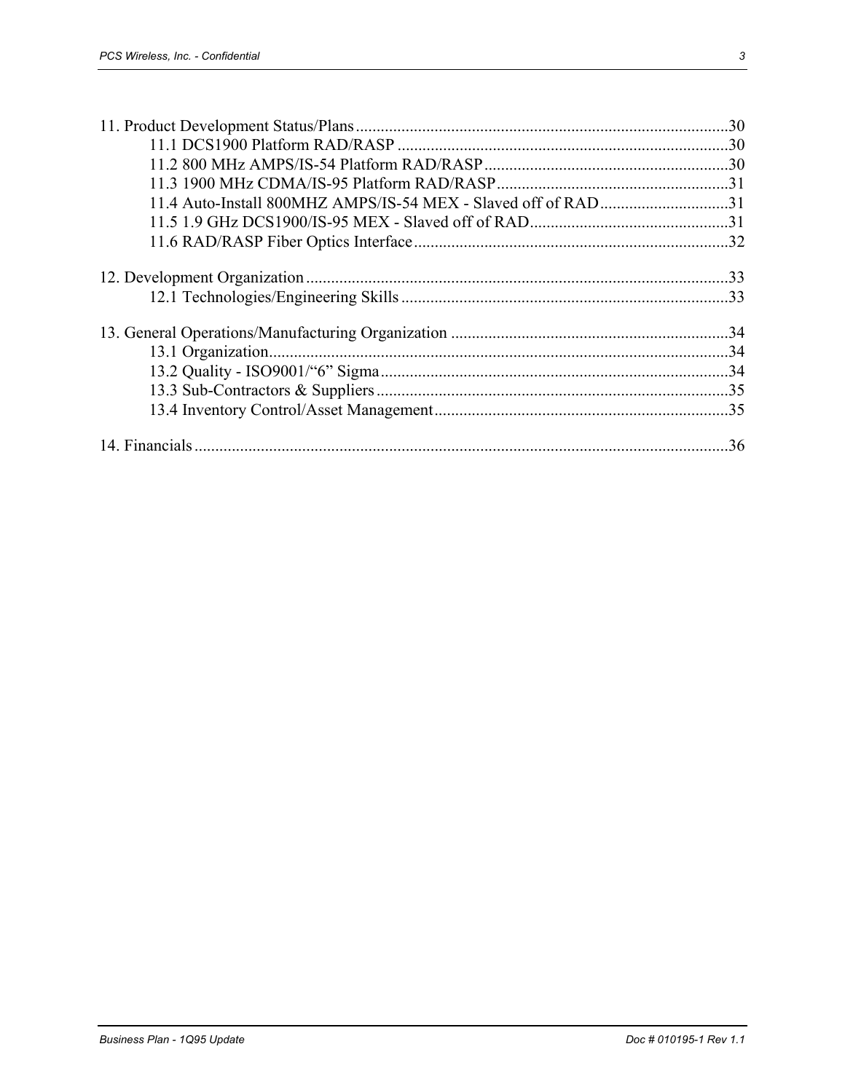| 11.4 Auto-Install 800MHZ AMPS/IS-54 MEX - Slaved off of RAD31 |  |
|---------------------------------------------------------------|--|
|                                                               |  |
|                                                               |  |
|                                                               |  |
|                                                               |  |
|                                                               |  |
|                                                               |  |
|                                                               |  |
|                                                               |  |
|                                                               |  |
|                                                               |  |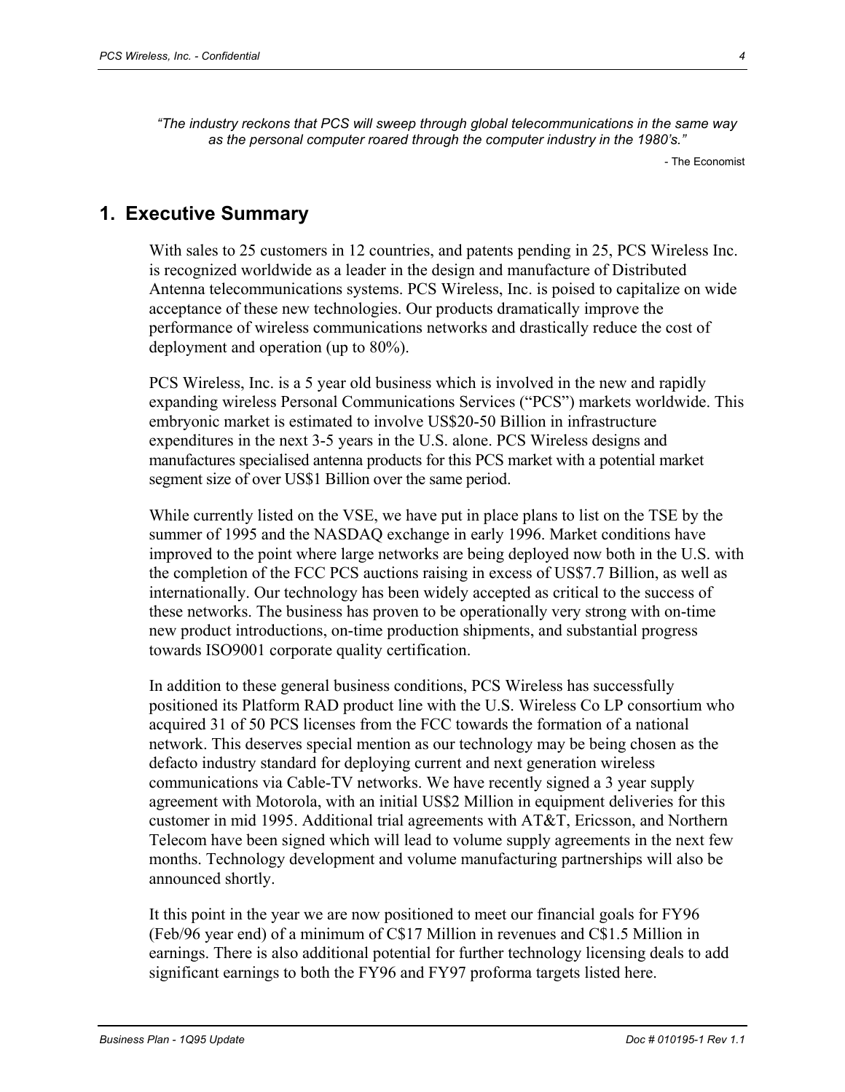*"The industry reckons that PCS will sweep through global telecommunications in the same way as the personal computer roared through the computer industry in the 1980's."* 

- The Economist

# **1. Executive Summary**

With sales to 25 customers in 12 countries, and patents pending in 25, PCS Wireless Inc. is recognized worldwide as a leader in the design and manufacture of Distributed Antenna telecommunications systems. PCS Wireless, Inc. is poised to capitalize on wide acceptance of these new technologies. Our products dramatically improve the performance of wireless communications networks and drastically reduce the cost of deployment and operation (up to 80%).

PCS Wireless, Inc. is a 5 year old business which is involved in the new and rapidly expanding wireless Personal Communications Services ("PCS") markets worldwide. This embryonic market is estimated to involve US\$20-50 Billion in infrastructure expenditures in the next 3-5 years in the U.S. alone. PCS Wireless designs and manufactures specialised antenna products for this PCS market with a potential market segment size of over US\$1 Billion over the same period.

While currently listed on the VSE, we have put in place plans to list on the TSE by the summer of 1995 and the NASDAQ exchange in early 1996. Market conditions have improved to the point where large networks are being deployed now both in the U.S. with the completion of the FCC PCS auctions raising in excess of US\$7.7 Billion, as well as internationally. Our technology has been widely accepted as critical to the success of these networks. The business has proven to be operationally very strong with on-time new product introductions, on-time production shipments, and substantial progress towards ISO9001 corporate quality certification.

In addition to these general business conditions, PCS Wireless has successfully positioned its Platform RAD product line with the U.S. Wireless Co LP consortium who acquired 31 of 50 PCS licenses from the FCC towards the formation of a national network. This deserves special mention as our technology may be being chosen as the defacto industry standard for deploying current and next generation wireless communications via Cable-TV networks. We have recently signed a 3 year supply agreement with Motorola, with an initial US\$2 Million in equipment deliveries for this customer in mid 1995. Additional trial agreements with AT&T, Ericsson, and Northern Telecom have been signed which will lead to volume supply agreements in the next few months. Technology development and volume manufacturing partnerships will also be announced shortly.

It this point in the year we are now positioned to meet our financial goals for FY96 (Feb/96 year end) of a minimum of C\$17 Million in revenues and C\$1.5 Million in earnings. There is also additional potential for further technology licensing deals to add significant earnings to both the FY96 and FY97 proforma targets listed here.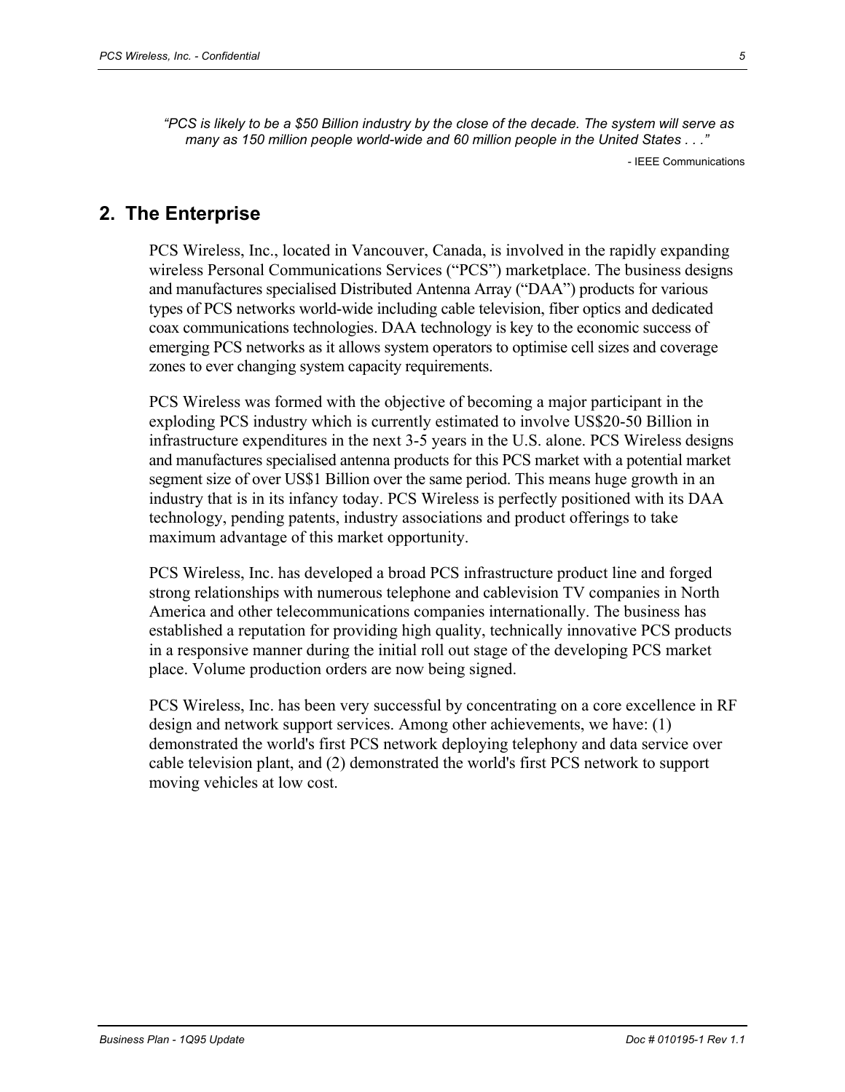*"PCS is likely to be a \$50 Billion industry by the close of the decade. The system will serve as many as 150 million people world-wide and 60 million people in the United States . . ."* 

- IEEE Communications

# **2. The Enterprise**

PCS Wireless, Inc., located in Vancouver, Canada, is involved in the rapidly expanding wireless Personal Communications Services ("PCS") marketplace. The business designs and manufactures specialised Distributed Antenna Array ("DAA") products for various types of PCS networks world-wide including cable television, fiber optics and dedicated coax communications technologies. DAA technology is key to the economic success of emerging PCS networks as it allows system operators to optimise cell sizes and coverage zones to ever changing system capacity requirements.

PCS Wireless was formed with the objective of becoming a major participant in the exploding PCS industry which is currently estimated to involve US\$20-50 Billion in infrastructure expenditures in the next 3-5 years in the U.S. alone. PCS Wireless designs and manufactures specialised antenna products for this PCS market with a potential market segment size of over US\$1 Billion over the same period. This means huge growth in an industry that is in its infancy today. PCS Wireless is perfectly positioned with its DAA technology, pending patents, industry associations and product offerings to take maximum advantage of this market opportunity.

PCS Wireless, Inc. has developed a broad PCS infrastructure product line and forged strong relationships with numerous telephone and cablevision TV companies in North America and other telecommunications companies internationally. The business has established a reputation for providing high quality, technically innovative PCS products in a responsive manner during the initial roll out stage of the developing PCS market place. Volume production orders are now being signed.

PCS Wireless, Inc. has been very successful by concentrating on a core excellence in RF design and network support services. Among other achievements, we have: (1) demonstrated the world's first PCS network deploying telephony and data service over cable television plant, and (2) demonstrated the world's first PCS network to support moving vehicles at low cost.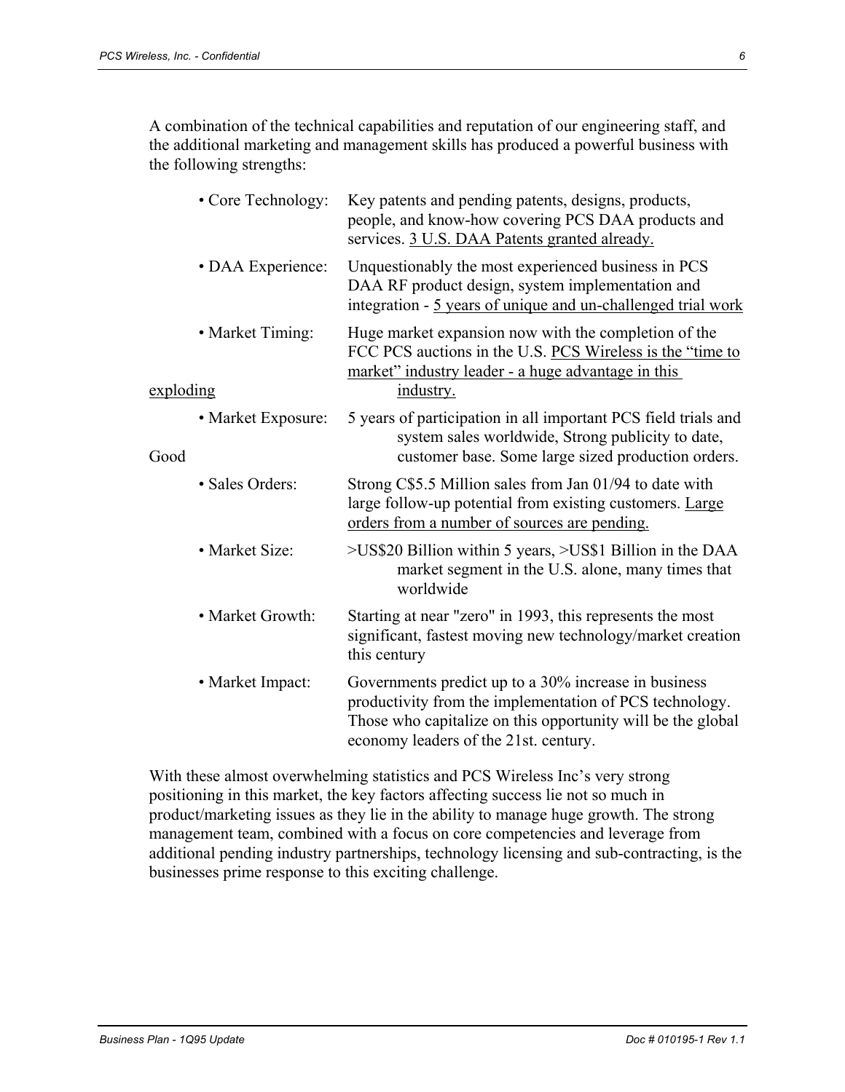A combination of the technical capabilities and reputation of our engineering staff, and the additional marketing and management skills has produced a powerful business with the following strengths:

|           | • Core Technology: | Key patents and pending patents, designs, products,<br>people, and know-how covering PCS DAA products and<br>services. 3 U.S. DAA Patents granted already.                                                              |
|-----------|--------------------|-------------------------------------------------------------------------------------------------------------------------------------------------------------------------------------------------------------------------|
|           | • DAA Experience:  | Unquestionably the most experienced business in PCS<br>DAA RF product design, system implementation and<br>integration - 5 years of unique and un-challenged trial work                                                 |
|           | • Market Timing:   | Huge market expansion now with the completion of the<br>FCC PCS auctions in the U.S. PCS Wireless is the "time to<br>market" industry leader - a huge advantage in this                                                 |
| exploding |                    | industry.                                                                                                                                                                                                               |
| Good      | • Market Exposure: | 5 years of participation in all important PCS field trials and<br>system sales worldwide, Strong publicity to date,<br>customer base. Some large sized production orders.                                               |
|           | • Sales Orders:    | Strong C\$5.5 Million sales from Jan 01/94 to date with<br>large follow-up potential from existing customers. Large<br>orders from a number of sources are pending.                                                     |
|           | • Market Size:     | >US\$20 Billion within 5 years, >US\$1 Billion in the DAA<br>market segment in the U.S. alone, many times that<br>worldwide                                                                                             |
|           | • Market Growth:   | Starting at near "zero" in 1993, this represents the most<br>significant, fastest moving new technology/market creation<br>this century                                                                                 |
|           | • Market Impact:   | Governments predict up to a 30% increase in business<br>productivity from the implementation of PCS technology.<br>Those who capitalize on this opportunity will be the global<br>economy leaders of the 21st. century. |

With these almost overwhelming statistics and PCS Wireless Inc's very strong positioning in this market, the key factors affecting success lie not so much in product/marketing issues as they lie in the ability to manage huge growth. The strong management team, combined with a focus on core competencies and leverage from additional pending industry partnerships, technology licensing and sub-contracting, is the businesses prime response to this exciting challenge.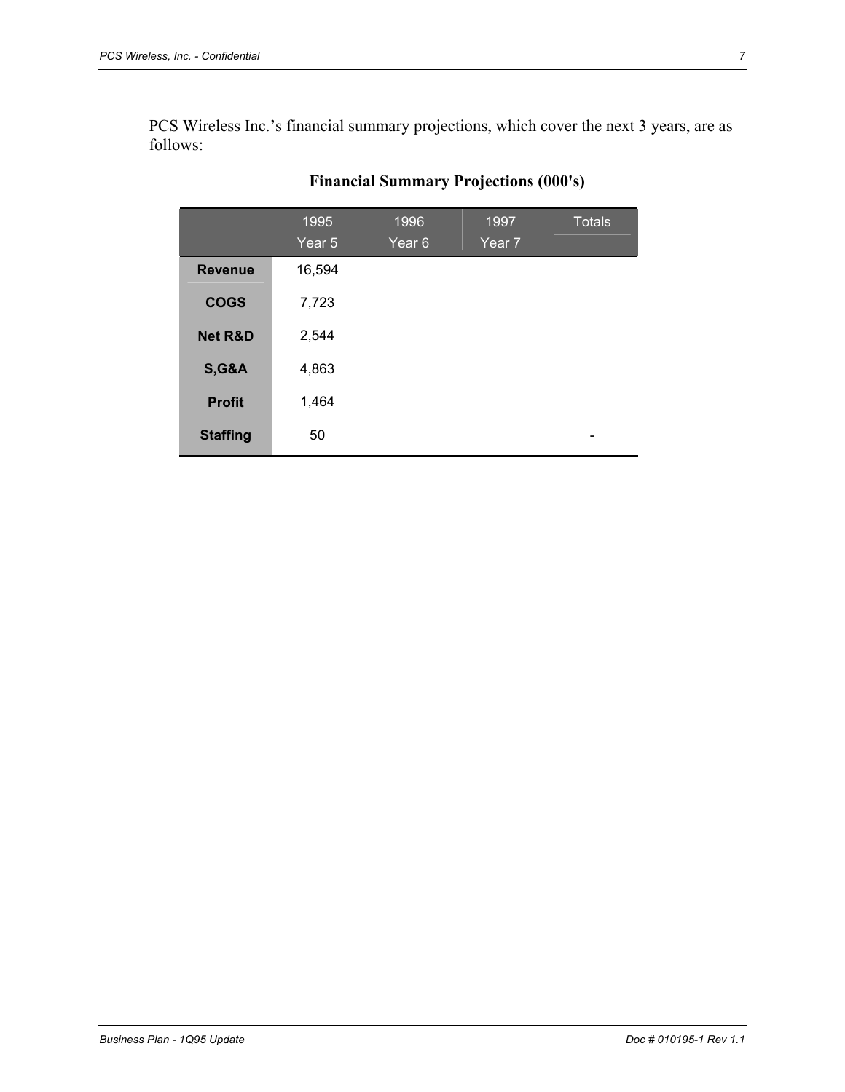PCS Wireless Inc.'s financial summary projections, which cover the next 3 years, are as follows:

|                    | 1995<br>Year 5 | 1996<br>Year <sub>6</sub> | 1997<br>Year 7 | <b>Totals</b> |
|--------------------|----------------|---------------------------|----------------|---------------|
| <b>Revenue</b>     | 16,594         |                           |                |               |
| <b>COGS</b>        | 7,723          |                           |                |               |
| <b>Net R&amp;D</b> | 2,544          |                           |                |               |
| <b>S,G&amp;A</b>   | 4,863          |                           |                |               |
| <b>Profit</b>      | 1,464          |                           |                |               |
| <b>Staffing</b>    | 50             |                           |                |               |

# **Financial Summary Projections (000's)**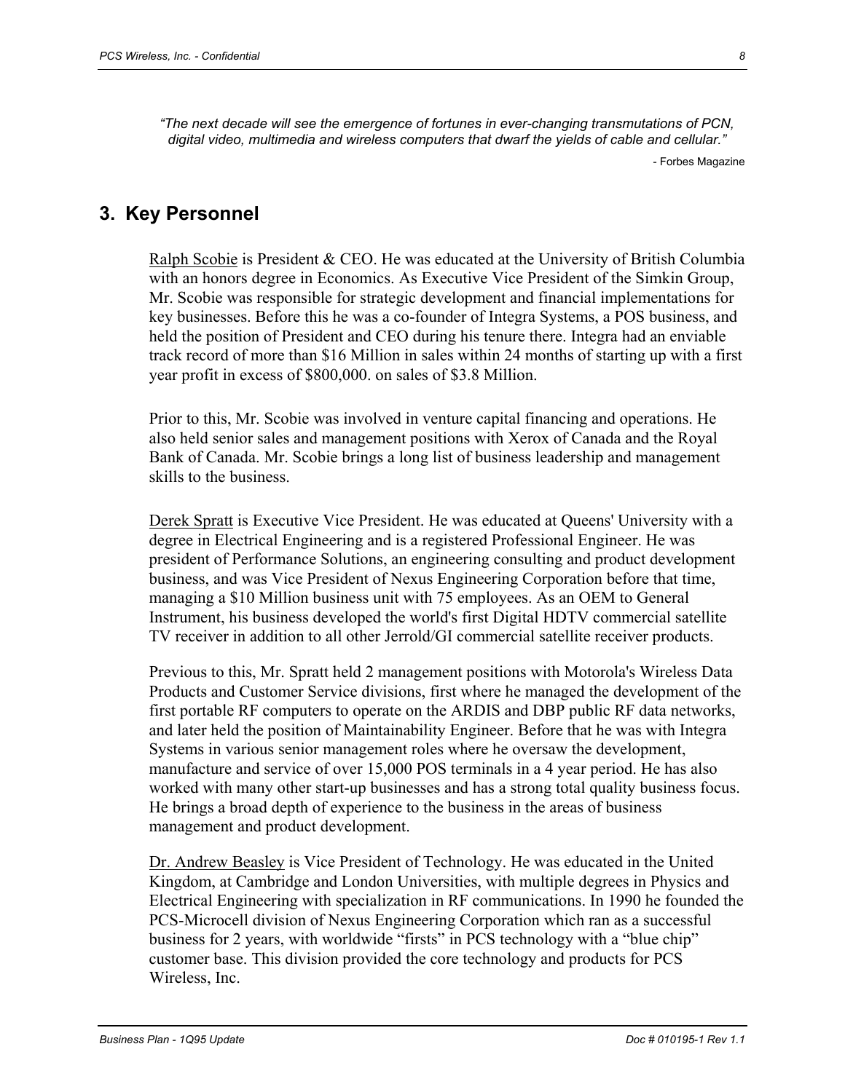*"The next decade will see the emergence of fortunes in ever-changing transmutations of PCN, digital video, multimedia and wireless computers that dwarf the yields of cable and cellular."* 

- Forbes Magazine

## **3. Key Personnel**

Ralph Scobie is President & CEO. He was educated at the University of British Columbia with an honors degree in Economics. As Executive Vice President of the Simkin Group, Mr. Scobie was responsible for strategic development and financial implementations for key businesses. Before this he was a co-founder of Integra Systems, a POS business, and held the position of President and CEO during his tenure there. Integra had an enviable track record of more than \$16 Million in sales within 24 months of starting up with a first year profit in excess of \$800,000. on sales of \$3.8 Million.

Prior to this, Mr. Scobie was involved in venture capital financing and operations. He also held senior sales and management positions with Xerox of Canada and the Royal Bank of Canada. Mr. Scobie brings a long list of business leadership and management skills to the business.

Derek Spratt is Executive Vice President. He was educated at Queens' University with a degree in Electrical Engineering and is a registered Professional Engineer. He was president of Performance Solutions, an engineering consulting and product development business, and was Vice President of Nexus Engineering Corporation before that time, managing a \$10 Million business unit with 75 employees. As an OEM to General Instrument, his business developed the world's first Digital HDTV commercial satellite TV receiver in addition to all other Jerrold/GI commercial satellite receiver products.

Previous to this, Mr. Spratt held 2 management positions with Motorola's Wireless Data Products and Customer Service divisions, first where he managed the development of the first portable RF computers to operate on the ARDIS and DBP public RF data networks, and later held the position of Maintainability Engineer. Before that he was with Integra Systems in various senior management roles where he oversaw the development, manufacture and service of over 15,000 POS terminals in a 4 year period. He has also worked with many other start-up businesses and has a strong total quality business focus. He brings a broad depth of experience to the business in the areas of business management and product development.

Dr. Andrew Beasley is Vice President of Technology. He was educated in the United Kingdom, at Cambridge and London Universities, with multiple degrees in Physics and Electrical Engineering with specialization in RF communications. In 1990 he founded the PCS-Microcell division of Nexus Engineering Corporation which ran as a successful business for 2 years, with worldwide "firsts" in PCS technology with a "blue chip" customer base. This division provided the core technology and products for PCS Wireless, Inc.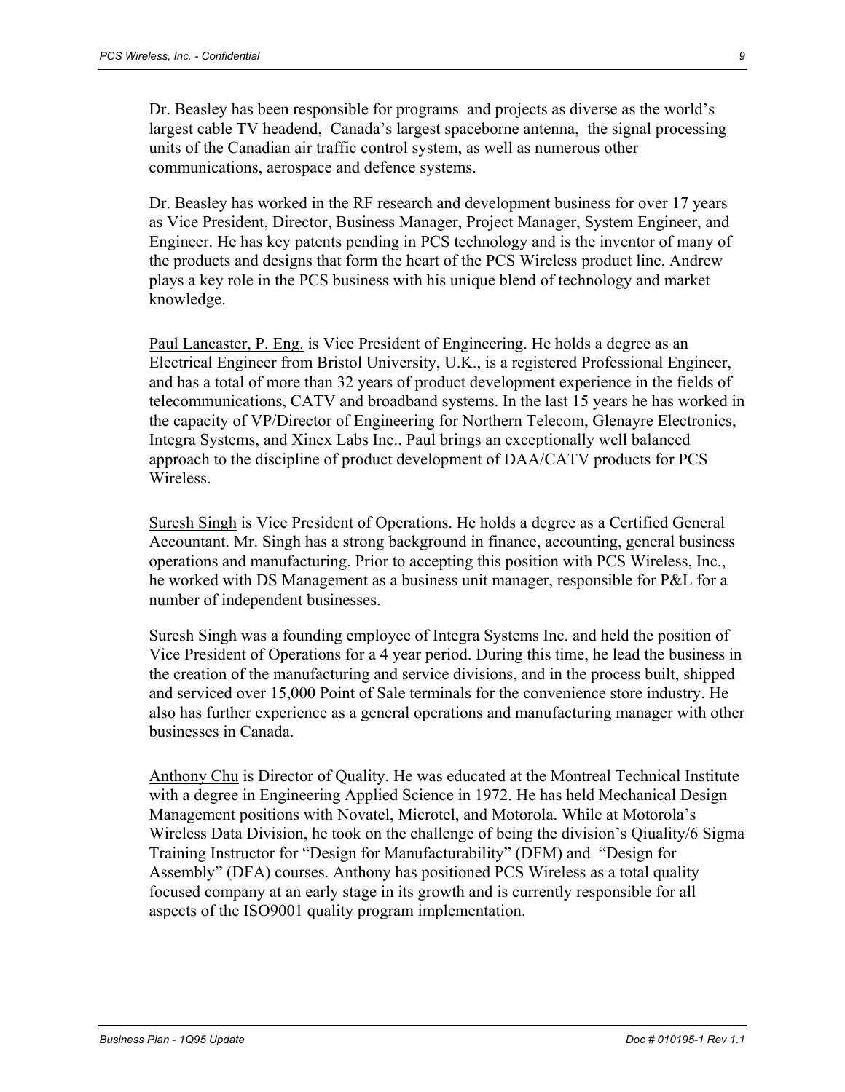Dr. Beasley has been responsible for programs and projects as diverse as the world's largest cable TV headend, Canada's largest spaceborne antenna, the signal processing units of the Canadian air traffic control system, as well as numerous other communications, aerospace and defence systems.

Dr. Beasley has worked in the RF research and development business for over 17 years as Vice President, Director, Business Manager, Project Manager, System Engineer, and Engineer. He has key patents pending in PCS technology and is the inventor of many of the products and designs that form the heart of the PCS Wireless product line. Andrew plays a key role in the PCS business with his unique blend of technology and market knowledge.

Paul Lancaster, P. Eng. is Vice President of Engineering. He holds a degree as an Electrical Engineer from Bristol University, U.K., is a registered Professional Engineer, and has a total of more than 32 years of product development experience in the fields of telecommunications, CATV and broadband systems. In the last 15 years he has worked in the capacity of VP/Director of Engineering for Northern Telecom, Glenayre Electronics, Integra Systems, and Xinex Labs Inc.. Paul brings an exceptionally well balanced approach to the discipline of product development of DAA/CATV products for PCS Wireless.

Suresh Singh is Vice President of Operations. He holds a degree as a Certified General Accountant. Mr. Singh has a strong background in finance, accounting, general business operations and manufacturing. Prior to accepting this position with PCS Wireless, Inc., he worked with DS Management as a business unit manager, responsible for P&L for a number of independent businesses.

Suresh Singh was a founding employee of Integra Systems Inc. and held the position of Vice President of Operations for a 4 year period. During this time, he lead the business in the creation of the manufacturing and service divisions, and in the process built, shipped and serviced over 15,000 Point of Sale terminals for the convenience store industry. He also has further experience as a general operations and manufacturing manager with other businesses in Canada.

Anthony Chu is Director of Quality. He was educated at the Montreal Technical Institute with a degree in Engineering Applied Science in 1972. He has held Mechanical Design Management positions with Novatel, Microtel, and Motorola. While at Motorola's Wireless Data Division, he took on the challenge of being the division's Qiuality/6 Sigma Training Instructor for "Design for Manufacturability" (DFM) and "Design for Assembly" (DFA) courses. Anthony has positioned PCS Wireless as a total quality focused company at an early stage in its growth and is currently responsible for all aspects of the ISO9001 quality program implementation.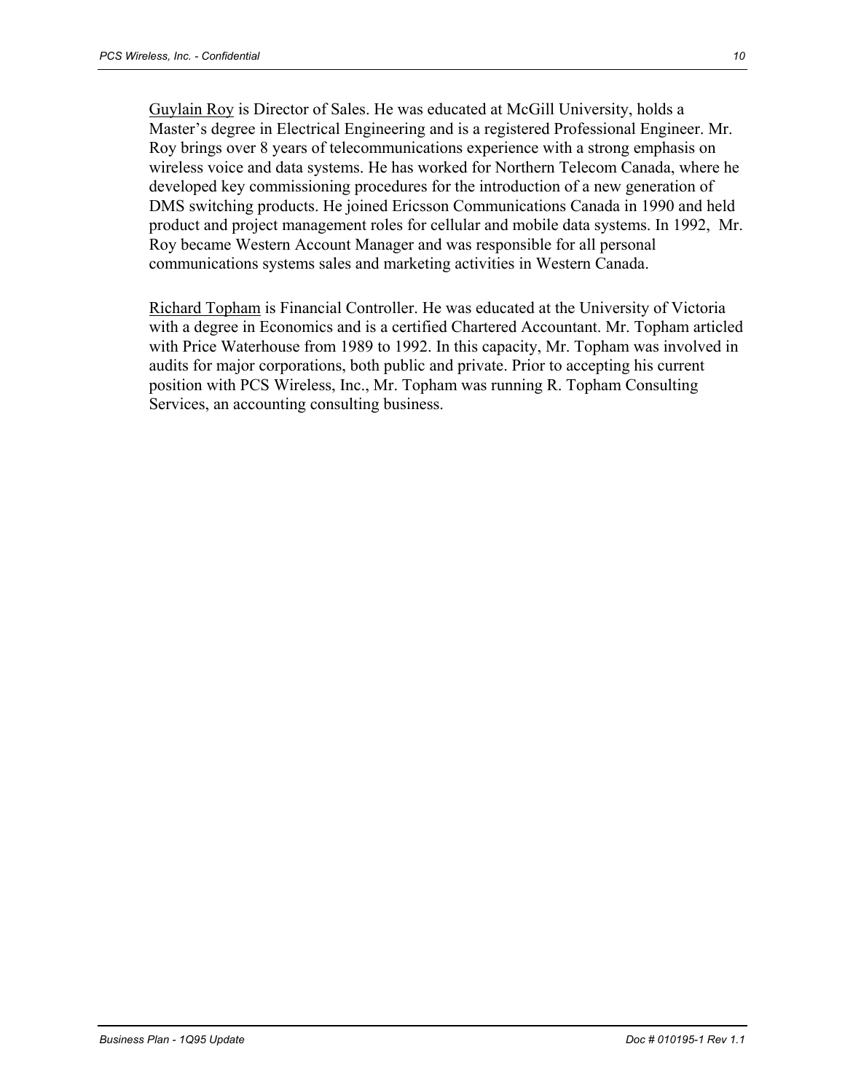Guylain Roy is Director of Sales. He was educated at McGill University, holds a Master's degree in Electrical Engineering and is a registered Professional Engineer. Mr. Roy brings over 8 years of telecommunications experience with a strong emphasis on wireless voice and data systems. He has worked for Northern Telecom Canada, where he developed key commissioning procedures for the introduction of a new generation of DMS switching products. He joined Ericsson Communications Canada in 1990 and held product and project management roles for cellular and mobile data systems. In 1992, Mr. Roy became Western Account Manager and was responsible for all personal communications systems sales and marketing activities in Western Canada.

Richard Topham is Financial Controller. He was educated at the University of Victoria with a degree in Economics and is a certified Chartered Accountant. Mr. Topham articled with Price Waterhouse from 1989 to 1992. In this capacity, Mr. Topham was involved in audits for major corporations, both public and private. Prior to accepting his current position with PCS Wireless, Inc., Mr. Topham was running R. Topham Consulting Services, an accounting consulting business.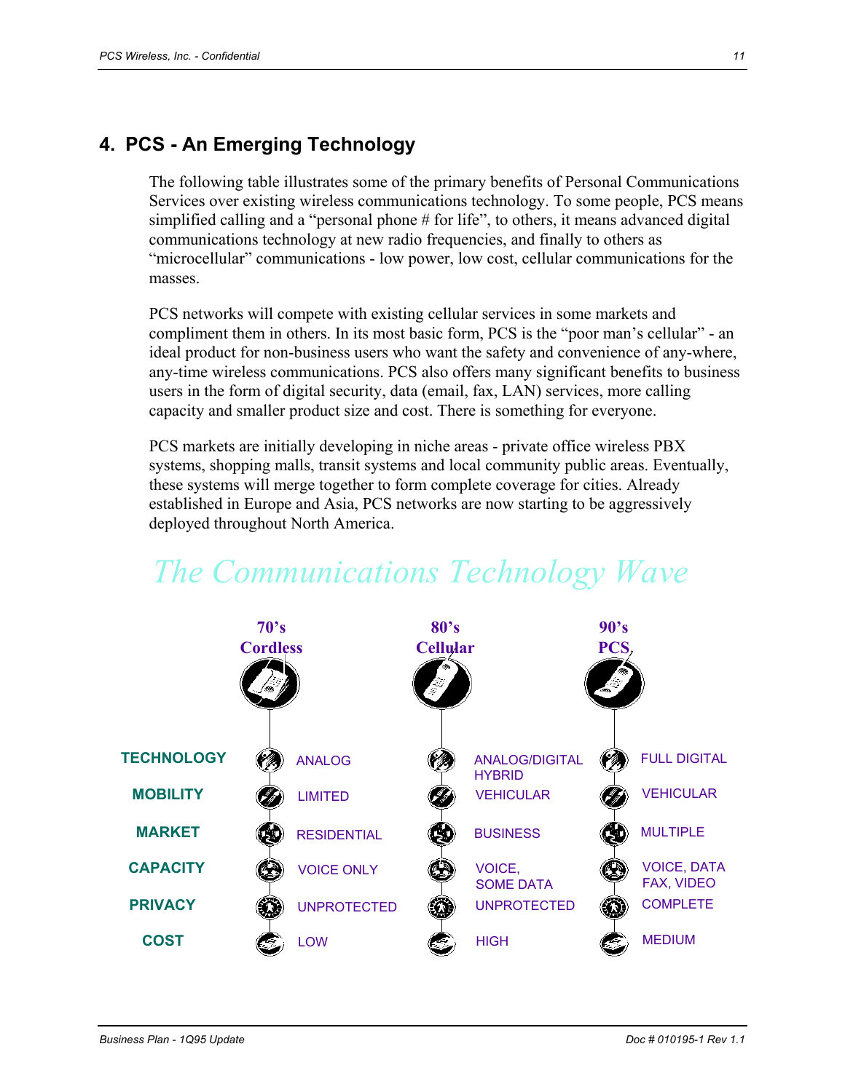## **4. PCS - An Emerging Technology**

The following table illustrates some of the primary benefits of Personal Communications Services over existing wireless communications technology. To some people, PCS means simplified calling and a "personal phone # for life", to others, it means advanced digital communications technology at new radio frequencies, and finally to others as "microcellular" communications - low power, low cost, cellular communications for the masses.

PCS networks will compete with existing cellular services in some markets and compliment them in others. In its most basic form, PCS is the "poor man's cellular" - an ideal product for non-business users who want the safety and convenience of any-where, any-time wireless communications. PCS also offers many significant benefits to business users in the form of digital security, data (email, fax, LAN) services, more calling capacity and smaller product size and cost. There is something for everyone.

PCS markets are initially developing in niche areas - private office wireless PBX systems, shopping malls, transit systems and local community public areas. Eventually, these systems will merge together to form complete coverage for cities. Already established in Europe and Asia, PCS networks are now starting to be aggressively deployed throughout North America.



# *The Communications Technology Wave*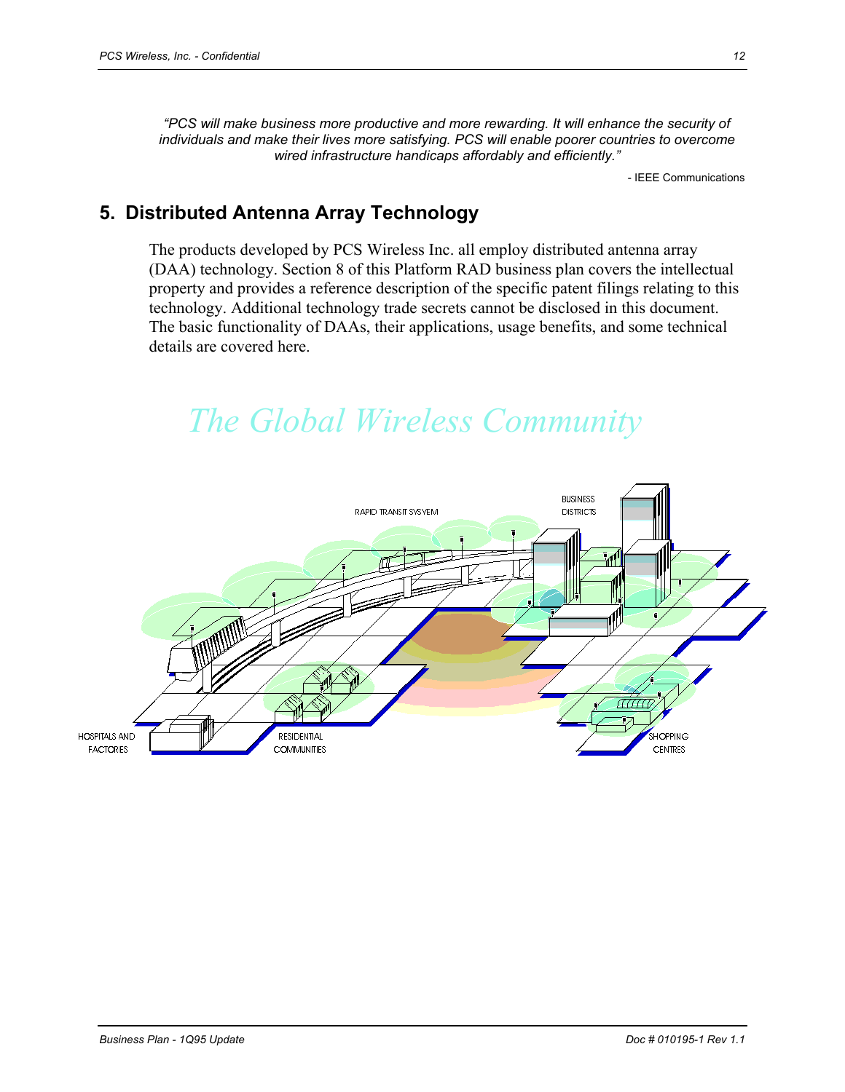*"PCS will make business more productive and more rewarding. It will enhance the security of individuals and make their lives more satisfying. PCS will enable poorer countries to overcome wired infrastructure handicaps affordably and efficiently."* 

- IEEE Communications

# **5. Distributed Antenna Array Technology**

The products developed by PCS Wireless Inc. all employ distributed antenna array (DAA) technology. Section 8 of this Platform RAD business plan covers the intellectual property and provides a reference description of the specific patent filings relating to this technology. Additional technology trade secrets cannot be disclosed in this document. The basic functionality of DAAs, their applications, usage benefits, and some technical details are covered here.

# *The Global Wireless Community*

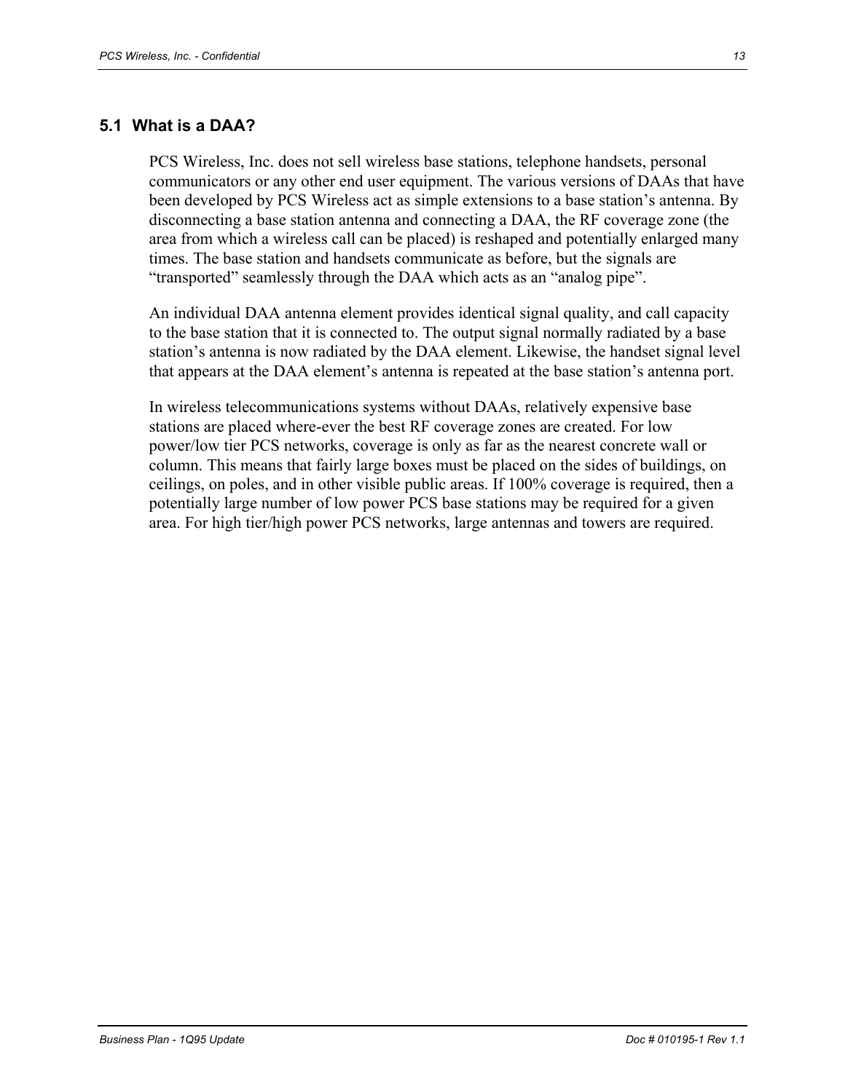#### **5.1 What is a DAA?**

PCS Wireless, Inc. does not sell wireless base stations, telephone handsets, personal communicators or any other end user equipment. The various versions of DAAs that have been developed by PCS Wireless act as simple extensions to a base station's antenna. By disconnecting a base station antenna and connecting a DAA, the RF coverage zone (the area from which a wireless call can be placed) is reshaped and potentially enlarged many times. The base station and handsets communicate as before, but the signals are "transported" seamlessly through the DAA which acts as an "analog pipe".

An individual DAA antenna element provides identical signal quality, and call capacity to the base station that it is connected to. The output signal normally radiated by a base station's antenna is now radiated by the DAA element. Likewise, the handset signal level that appears at the DAA element's antenna is repeated at the base station's antenna port.

In wireless telecommunications systems without DAAs, relatively expensive base stations are placed where-ever the best RF coverage zones are created. For low power/low tier PCS networks, coverage is only as far as the nearest concrete wall or column. This means that fairly large boxes must be placed on the sides of buildings, on ceilings, on poles, and in other visible public areas. If 100% coverage is required, then a potentially large number of low power PCS base stations may be required for a given area. For high tier/high power PCS networks, large antennas and towers are required.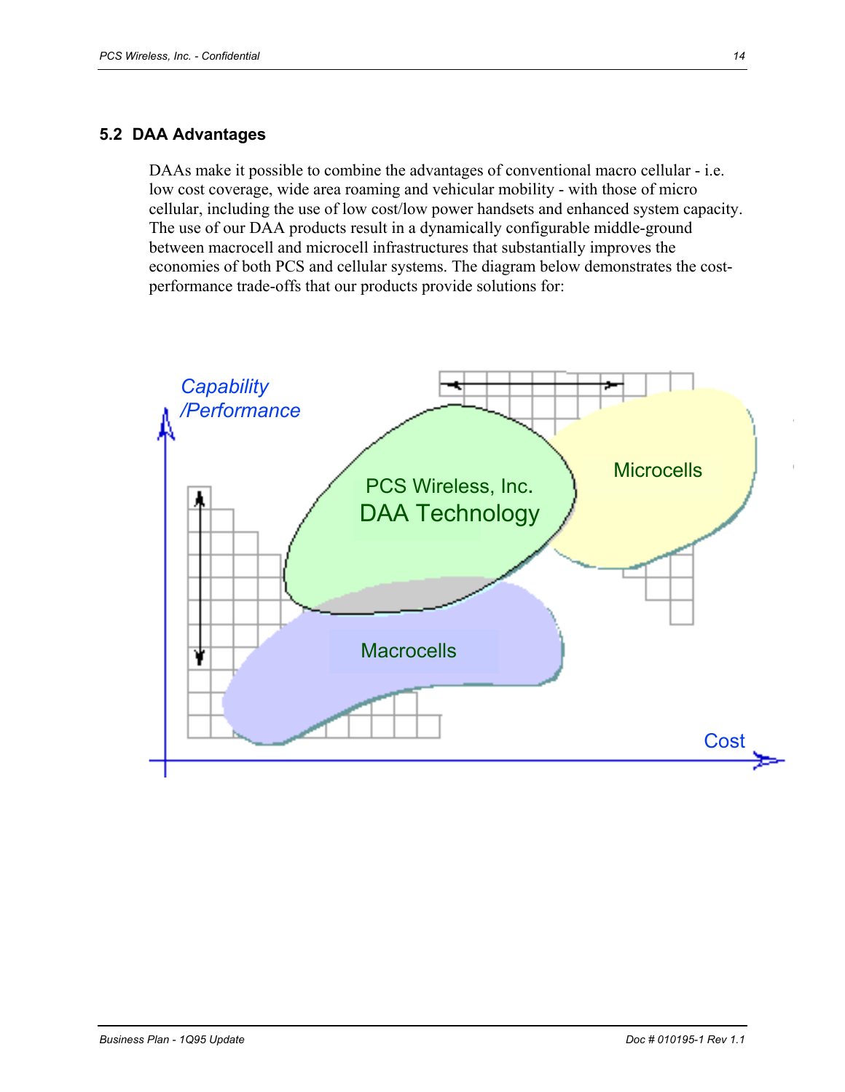#### **5.2 DAA Advantages**

DAAs make it possible to combine the advantages of conventional macro cellular - i.e. low cost coverage, wide area roaming and vehicular mobility - with those of micro cellular, including the use of low cost/low power handsets and enhanced system capacity. The use of our DAA products result in a dynamically configurable middle-ground between macrocell and microcell infrastructures that substantially improves the economies of both PCS and cellular systems. The diagram below demonstrates the costperformance trade-offs that our products provide solutions for:

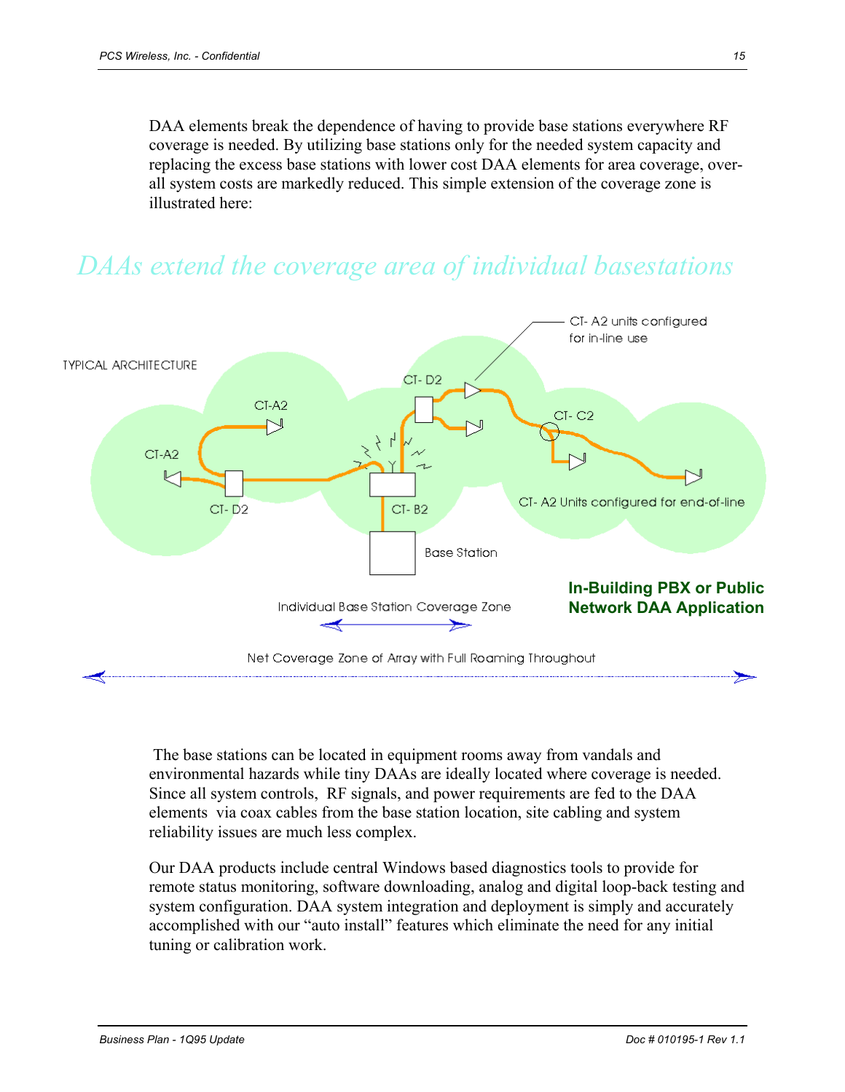DAA elements break the dependence of having to provide base stations everywhere RF coverage is needed. By utilizing base stations only for the needed system capacity and replacing the excess base stations with lower cost DAA elements for area coverage, overall system costs are markedly reduced. This simple extension of the coverage zone is illustrated here:



# *DAAs extend the coverage area of individual basestations*

 The base stations can be located in equipment rooms away from vandals and environmental hazards while tiny DAAs are ideally located where coverage is needed. Since all system controls, RF signals, and power requirements are fed to the DAA elements via coax cables from the base station location, site cabling and system reliability issues are much less complex.

Our DAA products include central Windows based diagnostics tools to provide for remote status monitoring, software downloading, analog and digital loop-back testing and system configuration. DAA system integration and deployment is simply and accurately accomplished with our "auto install" features which eliminate the need for any initial tuning or calibration work.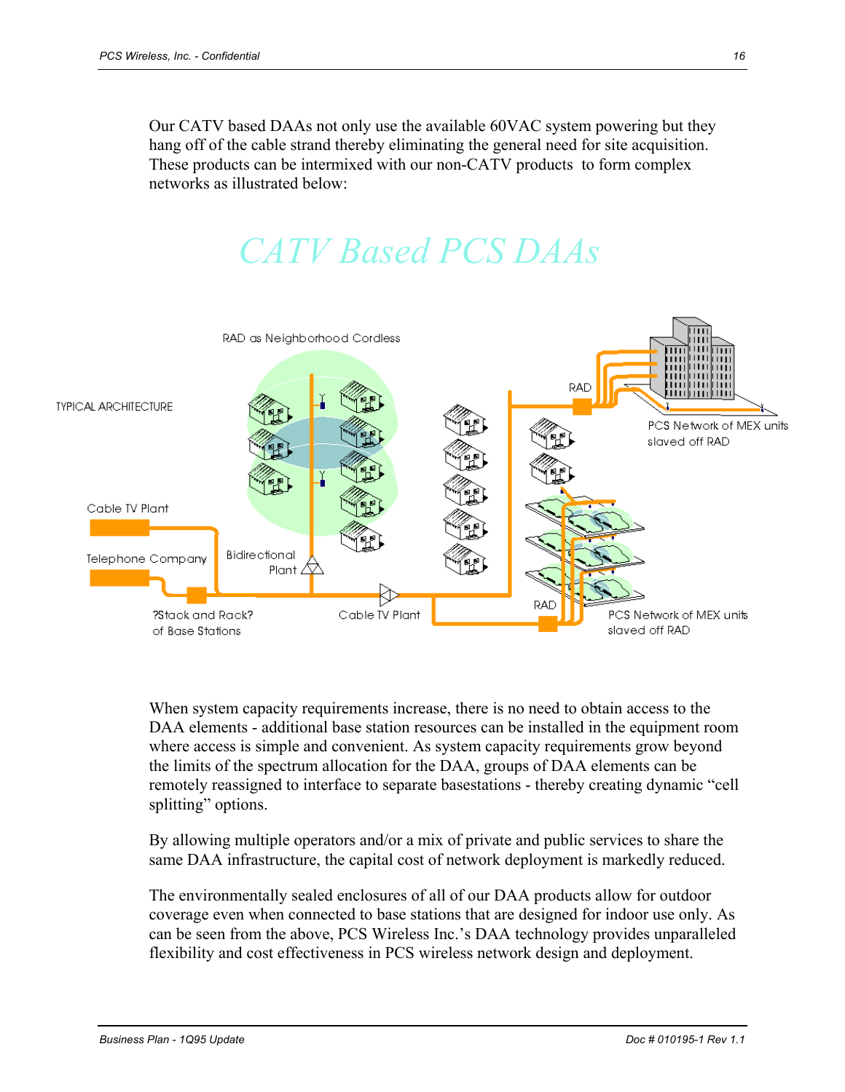Our CATV based DAAs not only use the available 60VAC system powering but they hang off of the cable strand thereby eliminating the general need for site acquisition. These products can be intermixed with our non-CATV products to form complex networks as illustrated below:

# *CATV Based PCS DAAs*



When system capacity requirements increase, there is no need to obtain access to the DAA elements - additional base station resources can be installed in the equipment room where access is simple and convenient. As system capacity requirements grow beyond the limits of the spectrum allocation for the DAA, groups of DAA elements can be remotely reassigned to interface to separate basestations - thereby creating dynamic "cell splitting" options.

By allowing multiple operators and/or a mix of private and public services to share the same DAA infrastructure, the capital cost of network deployment is markedly reduced.

The environmentally sealed enclosures of all of our DAA products allow for outdoor coverage even when connected to base stations that are designed for indoor use only. As can be seen from the above, PCS Wireless Inc.'s DAA technology provides unparalleled flexibility and cost effectiveness in PCS wireless network design and deployment.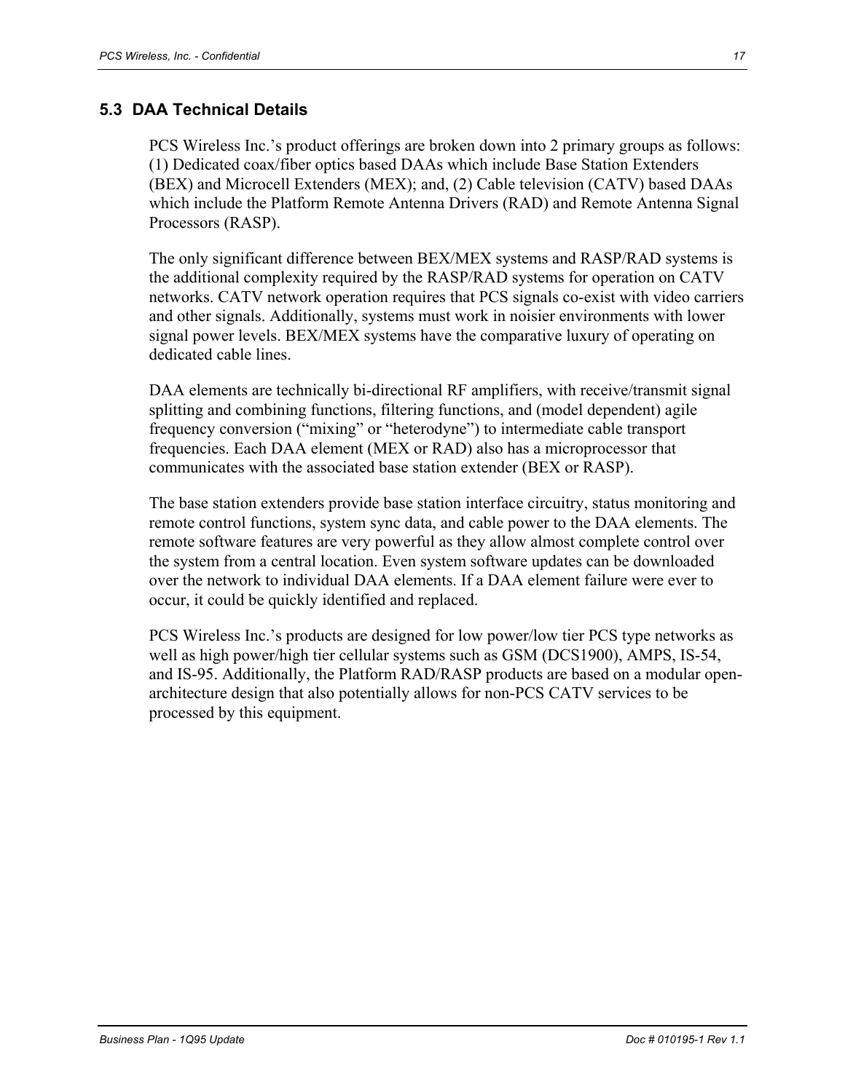#### **5.3 DAA Technical Details**

PCS Wireless Inc.'s product offerings are broken down into 2 primary groups as follows: (1) Dedicated coax/fiber optics based DAAs which include Base Station Extenders (BEX) and Microcell Extenders (MEX); and, (2) Cable television (CATV) based DAAs which include the Platform Remote Antenna Drivers (RAD) and Remote Antenna Signal Processors (RASP).

The only significant difference between BEX/MEX systems and RASP/RAD systems is the additional complexity required by the RASP/RAD systems for operation on CATV networks. CATV network operation requires that PCS signals co-exist with video carriers and other signals. Additionally, systems must work in noisier environments with lower signal power levels. BEX/MEX systems have the comparative luxury of operating on dedicated cable lines.

DAA elements are technically bi-directional RF amplifiers, with receive/transmit signal splitting and combining functions, filtering functions, and (model dependent) agile frequency conversion ("mixing" or "heterodyne") to intermediate cable transport frequencies. Each DAA element (MEX or RAD) also has a microprocessor that communicates with the associated base station extender (BEX or RASP).

The base station extenders provide base station interface circuitry, status monitoring and remote control functions, system sync data, and cable power to the DAA elements. The remote software features are very powerful as they allow almost complete control over the system from a central location. Even system software updates can be downloaded over the network to individual DAA elements. If a DAA element failure were ever to occur, it could be quickly identified and replaced.

PCS Wireless Inc.'s products are designed for low power/low tier PCS type networks as well as high power/high tier cellular systems such as GSM (DCS1900), AMPS, IS-54, and IS-95. Additionally, the Platform RAD/RASP products are based on a modular openarchitecture design that also potentially allows for non-PCS CATV services to be processed by this equipment.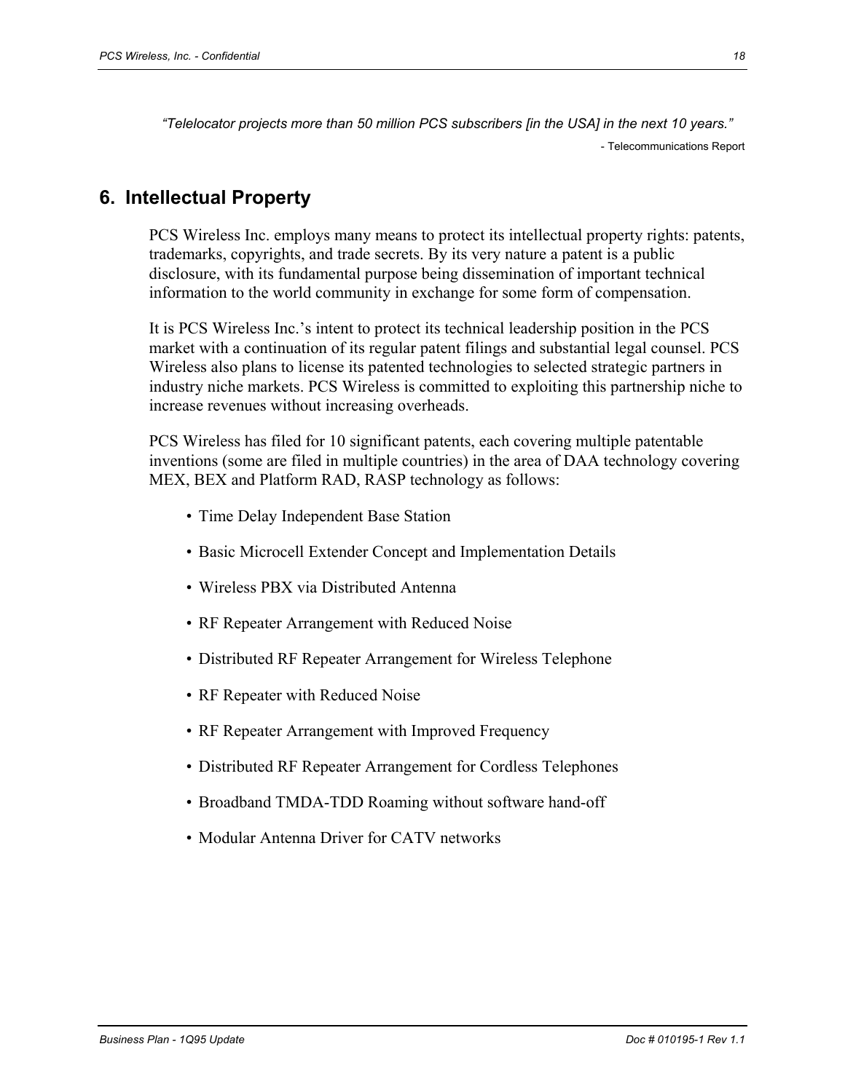*"Telelocator projects more than 50 million PCS subscribers [in the USA] in the next 10 years."*  - Telecommunications Report

## **6. Intellectual Property**

PCS Wireless Inc. employs many means to protect its intellectual property rights: patents, trademarks, copyrights, and trade secrets. By its very nature a patent is a public disclosure, with its fundamental purpose being dissemination of important technical information to the world community in exchange for some form of compensation.

It is PCS Wireless Inc.'s intent to protect its technical leadership position in the PCS market with a continuation of its regular patent filings and substantial legal counsel. PCS Wireless also plans to license its patented technologies to selected strategic partners in industry niche markets. PCS Wireless is committed to exploiting this partnership niche to increase revenues without increasing overheads.

PCS Wireless has filed for 10 significant patents, each covering multiple patentable inventions (some are filed in multiple countries) in the area of DAA technology covering MEX, BEX and Platform RAD, RASP technology as follows:

- Time Delay Independent Base Station
- Basic Microcell Extender Concept and Implementation Details
- Wireless PBX via Distributed Antenna
- RF Repeater Arrangement with Reduced Noise
- Distributed RF Repeater Arrangement for Wireless Telephone
- RF Repeater with Reduced Noise
- RF Repeater Arrangement with Improved Frequency
- Distributed RF Repeater Arrangement for Cordless Telephones
- Broadband TMDA-TDD Roaming without software hand-off
- Modular Antenna Driver for CATV networks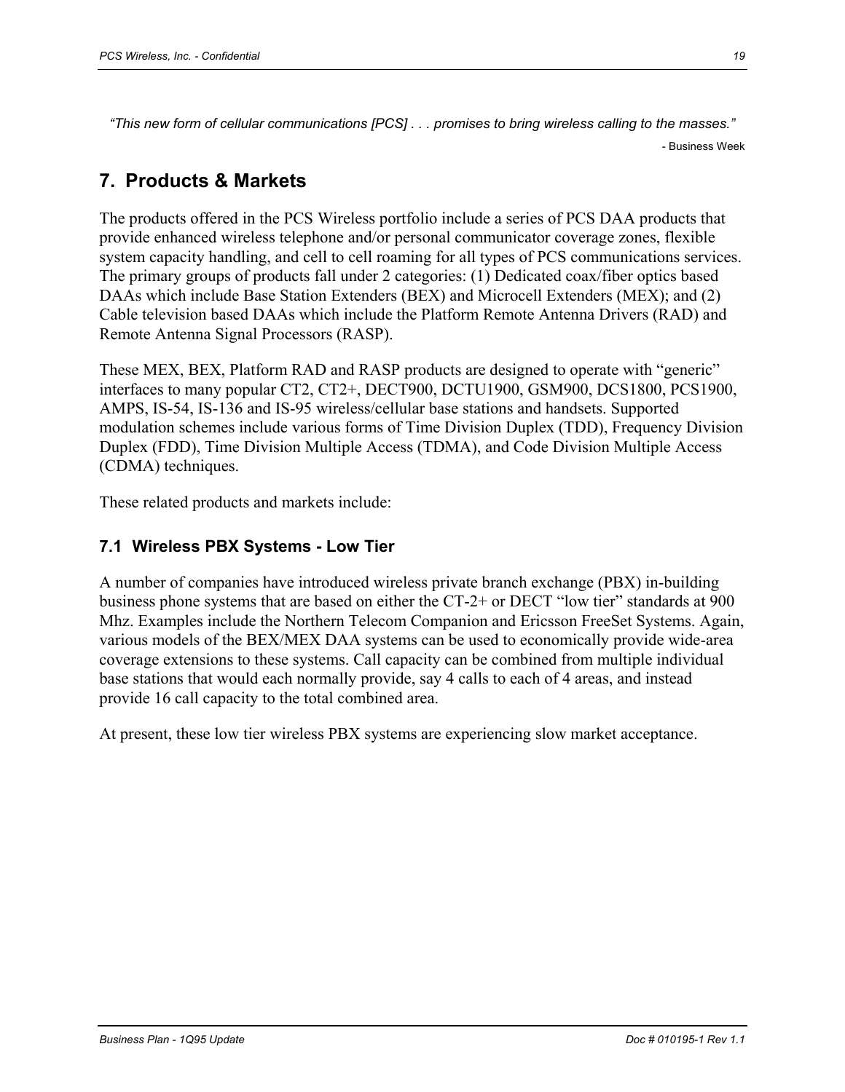*"This new form of cellular communications [PCS] . . . promises to bring wireless calling to the masses."*  - Business Week

# **7. Products & Markets**

The products offered in the PCS Wireless portfolio include a series of PCS DAA products that provide enhanced wireless telephone and/or personal communicator coverage zones, flexible system capacity handling, and cell to cell roaming for all types of PCS communications services. The primary groups of products fall under 2 categories: (1) Dedicated coax/fiber optics based DAAs which include Base Station Extenders (BEX) and Microcell Extenders (MEX); and (2) Cable television based DAAs which include the Platform Remote Antenna Drivers (RAD) and Remote Antenna Signal Processors (RASP).

These MEX, BEX, Platform RAD and RASP products are designed to operate with "generic" interfaces to many popular CT2, CT2+, DECT900, DCTU1900, GSM900, DCS1800, PCS1900, AMPS, IS-54, IS-136 and IS-95 wireless/cellular base stations and handsets. Supported modulation schemes include various forms of Time Division Duplex (TDD), Frequency Division Duplex (FDD), Time Division Multiple Access (TDMA), and Code Division Multiple Access (CDMA) techniques.

These related products and markets include:

#### **7.1 Wireless PBX Systems - Low Tier**

A number of companies have introduced wireless private branch exchange (PBX) in-building business phone systems that are based on either the CT-2+ or DECT "low tier" standards at 900 Mhz. Examples include the Northern Telecom Companion and Ericsson FreeSet Systems. Again, various models of the BEX/MEX DAA systems can be used to economically provide wide-area coverage extensions to these systems. Call capacity can be combined from multiple individual base stations that would each normally provide, say 4 calls to each of 4 areas, and instead provide 16 call capacity to the total combined area.

At present, these low tier wireless PBX systems are experiencing slow market acceptance.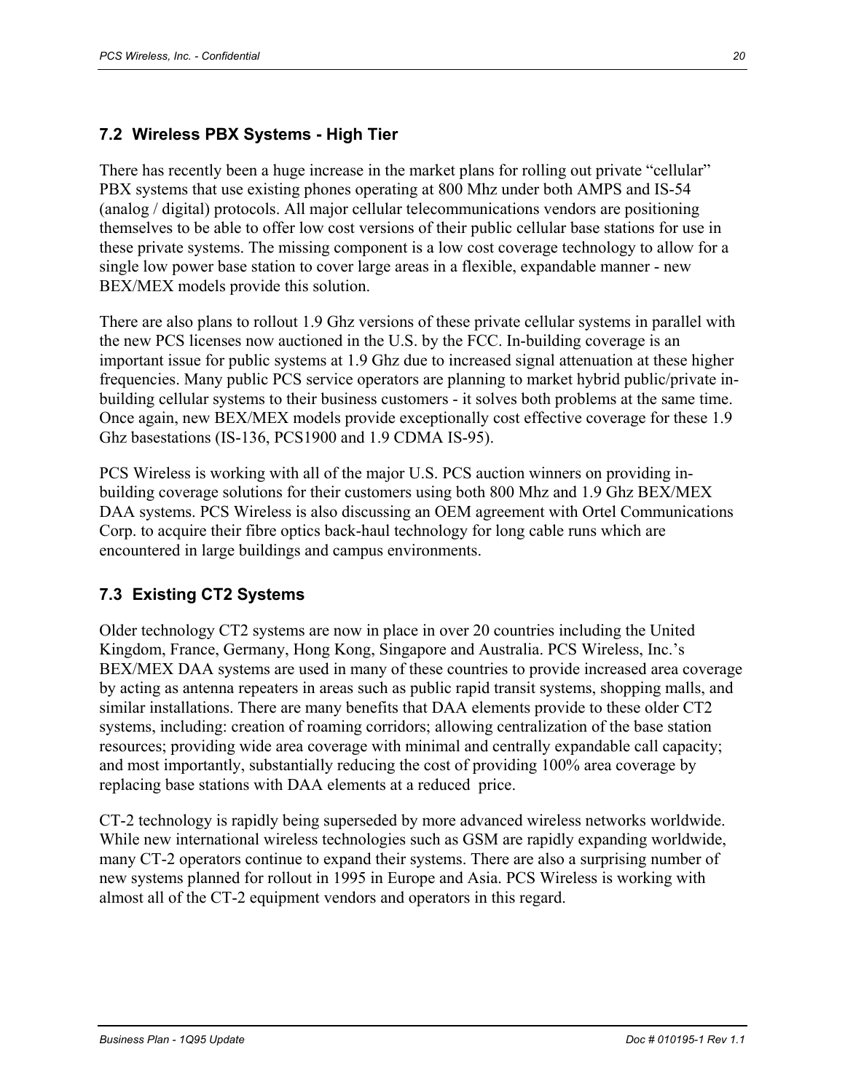#### **7.2 Wireless PBX Systems - High Tier**

There has recently been a huge increase in the market plans for rolling out private "cellular" PBX systems that use existing phones operating at 800 Mhz under both AMPS and IS-54 (analog / digital) protocols. All major cellular telecommunications vendors are positioning themselves to be able to offer low cost versions of their public cellular base stations for use in these private systems. The missing component is a low cost coverage technology to allow for a single low power base station to cover large areas in a flexible, expandable manner - new BEX/MEX models provide this solution.

There are also plans to rollout 1.9 Ghz versions of these private cellular systems in parallel with the new PCS licenses now auctioned in the U.S. by the FCC. In-building coverage is an important issue for public systems at 1.9 Ghz due to increased signal attenuation at these higher frequencies. Many public PCS service operators are planning to market hybrid public/private inbuilding cellular systems to their business customers - it solves both problems at the same time. Once again, new BEX/MEX models provide exceptionally cost effective coverage for these 1.9 Ghz basestations (IS-136, PCS1900 and 1.9 CDMA IS-95).

PCS Wireless is working with all of the major U.S. PCS auction winners on providing inbuilding coverage solutions for their customers using both 800 Mhz and 1.9 Ghz BEX/MEX DAA systems. PCS Wireless is also discussing an OEM agreement with Ortel Communications Corp. to acquire their fibre optics back-haul technology for long cable runs which are encountered in large buildings and campus environments.

#### **7.3 Existing CT2 Systems**

Older technology CT2 systems are now in place in over 20 countries including the United Kingdom, France, Germany, Hong Kong, Singapore and Australia. PCS Wireless, Inc.'s BEX/MEX DAA systems are used in many of these countries to provide increased area coverage by acting as antenna repeaters in areas such as public rapid transit systems, shopping malls, and similar installations. There are many benefits that DAA elements provide to these older CT2 systems, including: creation of roaming corridors; allowing centralization of the base station resources; providing wide area coverage with minimal and centrally expandable call capacity; and most importantly, substantially reducing the cost of providing 100% area coverage by replacing base stations with DAA elements at a reduced price.

CT-2 technology is rapidly being superseded by more advanced wireless networks worldwide. While new international wireless technologies such as GSM are rapidly expanding worldwide, many CT-2 operators continue to expand their systems. There are also a surprising number of new systems planned for rollout in 1995 in Europe and Asia. PCS Wireless is working with almost all of the CT-2 equipment vendors and operators in this regard.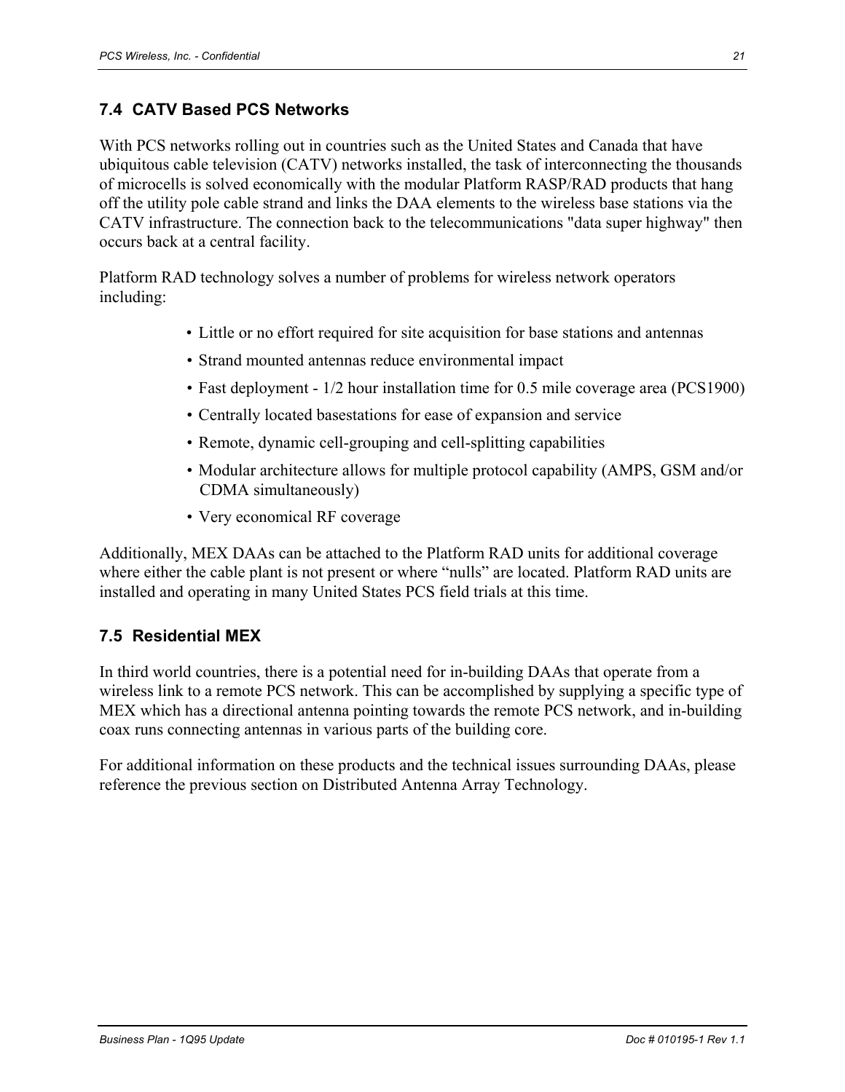#### **7.4 CATV Based PCS Networks**

With PCS networks rolling out in countries such as the United States and Canada that have ubiquitous cable television (CATV) networks installed, the task of interconnecting the thousands of microcells is solved economically with the modular Platform RASP/RAD products that hang off the utility pole cable strand and links the DAA elements to the wireless base stations via the CATV infrastructure. The connection back to the telecommunications "data super highway" then occurs back at a central facility.

Platform RAD technology solves a number of problems for wireless network operators including:

- Little or no effort required for site acquisition for base stations and antennas
- Strand mounted antennas reduce environmental impact
- Fast deployment 1/2 hour installation time for 0.5 mile coverage area (PCS1900)
- Centrally located basestations for ease of expansion and service
- Remote, dynamic cell-grouping and cell-splitting capabilities
- Modular architecture allows for multiple protocol capability (AMPS, GSM and/or CDMA simultaneously)
- Very economical RF coverage

Additionally, MEX DAAs can be attached to the Platform RAD units for additional coverage where either the cable plant is not present or where "nulls" are located. Platform RAD units are installed and operating in many United States PCS field trials at this time.

#### **7.5 Residential MEX**

In third world countries, there is a potential need for in-building DAAs that operate from a wireless link to a remote PCS network. This can be accomplished by supplying a specific type of MEX which has a directional antenna pointing towards the remote PCS network, and in-building coax runs connecting antennas in various parts of the building core.

For additional information on these products and the technical issues surrounding DAAs, please reference the previous section on Distributed Antenna Array Technology.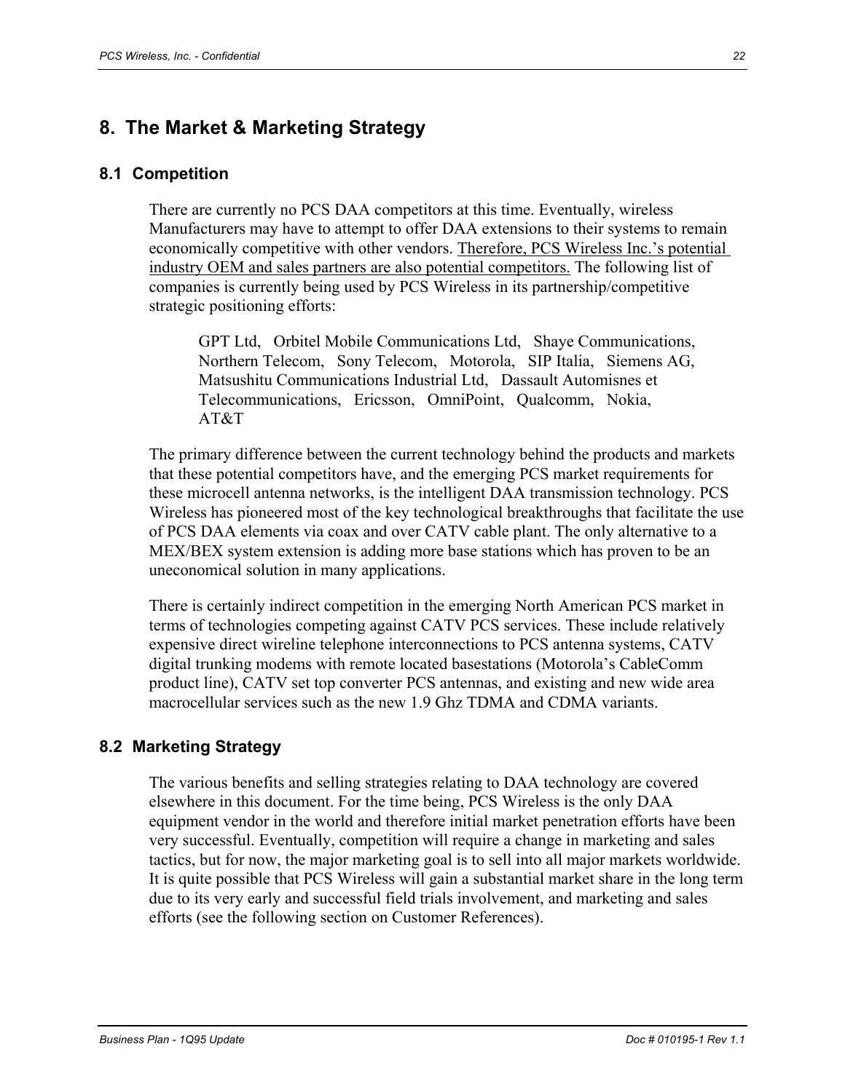# **8. The Market & Marketing Strategy**

#### **8.1 Competition**

There are currently no PCS DAA competitors at this time. Eventually, wireless Manufacturers may have to attempt to offer DAA extensions to their systems to remain economically competitive with other vendors. Therefore, PCS Wireless Inc.'s potential industry OEM and sales partners are also potential competitors. The following list of companies is currently being used by PCS Wireless in its partnership/competitive strategic positioning efforts:

GPT Ltd, Orbitel Mobile Communications Ltd, Shaye Communications, Northern Telecom, Sony Telecom, Motorola, SIP Italia, Siemens AG, Matsushitu Communications Industrial Ltd, Dassault Automisnes et Telecommunications, Ericsson, OmniPoint, Qualcomm, Nokia, AT&T

The primary difference between the current technology behind the products and markets that these potential competitors have, and the emerging PCS market requirements for these microcell antenna networks, is the intelligent DAA transmission technology. PCS Wireless has pioneered most of the key technological breakthroughs that facilitate the use of PCS DAA elements via coax and over CATV cable plant. The only alternative to a MEX/BEX system extension is adding more base stations which has proven to be an uneconomical solution in many applications.

There is certainly indirect competition in the emerging North American PCS market in terms of technologies competing against CATV PCS services. These include relatively expensive direct wireline telephone interconnections to PCS antenna systems, CATV digital trunking modems with remote located basestations (Motorola's CableComm product line), CATV set top converter PCS antennas, and existing and new wide area macrocellular services such as the new 1.9 Ghz TDMA and CDMA variants.

#### **8.2 Marketing Strategy**

The various benefits and selling strategies relating to DAA technology are covered elsewhere in this document. For the time being, PCS Wireless is the only DAA equipment vendor in the world and therefore initial market penetration efforts have been very successful. Eventually, competition will require a change in marketing and sales tactics, but for now, the major marketing goal is to sell into all major markets worldwide. It is quite possible that PCS Wireless will gain a substantial market share in the long term due to its very early and successful field trials involvement, and marketing and sales efforts (see the following section on Customer References).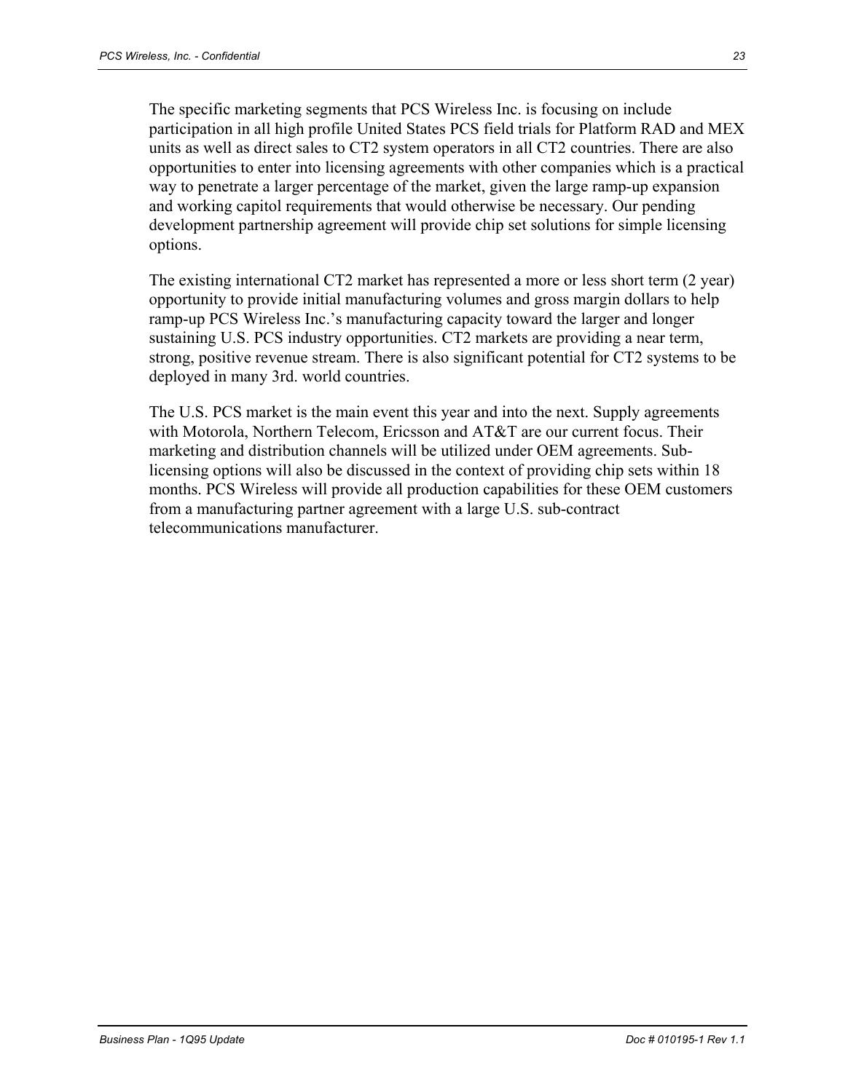The specific marketing segments that PCS Wireless Inc. is focusing on include participation in all high profile United States PCS field trials for Platform RAD and MEX units as well as direct sales to CT2 system operators in all CT2 countries. There are also opportunities to enter into licensing agreements with other companies which is a practical way to penetrate a larger percentage of the market, given the large ramp-up expansion and working capitol requirements that would otherwise be necessary. Our pending development partnership agreement will provide chip set solutions for simple licensing options.

The existing international CT2 market has represented a more or less short term (2 year) opportunity to provide initial manufacturing volumes and gross margin dollars to help ramp-up PCS Wireless Inc.'s manufacturing capacity toward the larger and longer sustaining U.S. PCS industry opportunities. CT2 markets are providing a near term, strong, positive revenue stream. There is also significant potential for CT2 systems to be deployed in many 3rd. world countries.

The U.S. PCS market is the main event this year and into the next. Supply agreements with Motorola, Northern Telecom, Ericsson and AT&T are our current focus. Their marketing and distribution channels will be utilized under OEM agreements. Sublicensing options will also be discussed in the context of providing chip sets within 18 months. PCS Wireless will provide all production capabilities for these OEM customers from a manufacturing partner agreement with a large U.S. sub-contract telecommunications manufacturer.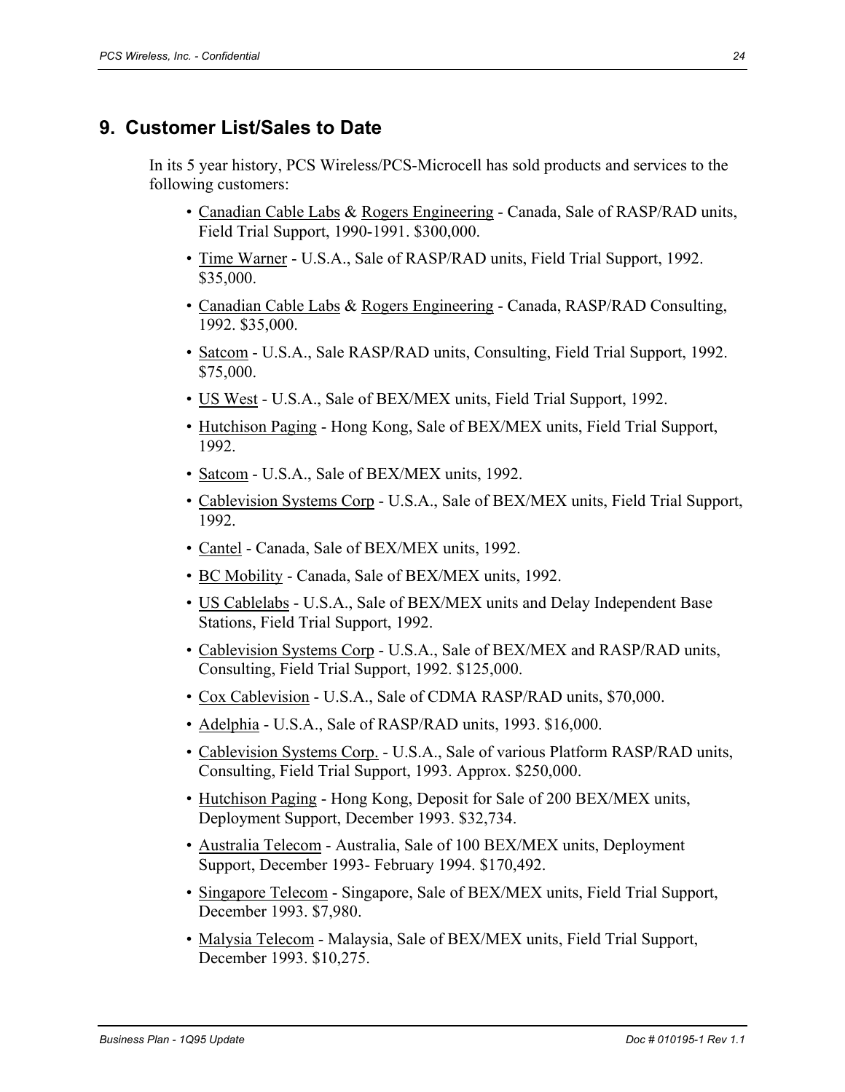### **9. Customer List/Sales to Date**

In its 5 year history, PCS Wireless/PCS-Microcell has sold products and services to the following customers:

- Canadian Cable Labs & Rogers Engineering Canada, Sale of RASP/RAD units, Field Trial Support, 1990-1991. \$300,000.
- Time Warner U.S.A., Sale of RASP/RAD units, Field Trial Support, 1992. \$35,000.
- Canadian Cable Labs & Rogers Engineering Canada, RASP/RAD Consulting, 1992. \$35,000.
- Satcom U.S.A., Sale RASP/RAD units, Consulting, Field Trial Support, 1992. \$75,000.
- US West U.S.A., Sale of BEX/MEX units, Field Trial Support, 1992.
- Hutchison Paging Hong Kong, Sale of BEX/MEX units, Field Trial Support, 1992.
- Satcom U.S.A., Sale of BEX/MEX units, 1992.
- Cablevision Systems Corp U.S.A., Sale of BEX/MEX units, Field Trial Support, 1992.
- Cantel Canada, Sale of BEX/MEX units, 1992.
- BC Mobility Canada, Sale of BEX/MEX units, 1992.
- US Cablelabs U.S.A., Sale of BEX/MEX units and Delay Independent Base Stations, Field Trial Support, 1992.
- Cablevision Systems Corp U.S.A., Sale of BEX/MEX and RASP/RAD units, Consulting, Field Trial Support, 1992. \$125,000.
- Cox Cablevision U.S.A., Sale of CDMA RASP/RAD units, \$70,000.
- Adelphia U.S.A., Sale of RASP/RAD units, 1993. \$16,000.
- Cablevision Systems Corp. U.S.A., Sale of various Platform RASP/RAD units, Consulting, Field Trial Support, 1993. Approx. \$250,000.
- Hutchison Paging Hong Kong, Deposit for Sale of 200 BEX/MEX units, Deployment Support, December 1993. \$32,734.
- Australia Telecom Australia, Sale of 100 BEX/MEX units, Deployment Support, December 1993- February 1994. \$170,492.
- Singapore Telecom Singapore, Sale of BEX/MEX units, Field Trial Support, December 1993. \$7,980.
- Malysia Telecom Malaysia, Sale of BEX/MEX units, Field Trial Support, December 1993. \$10,275.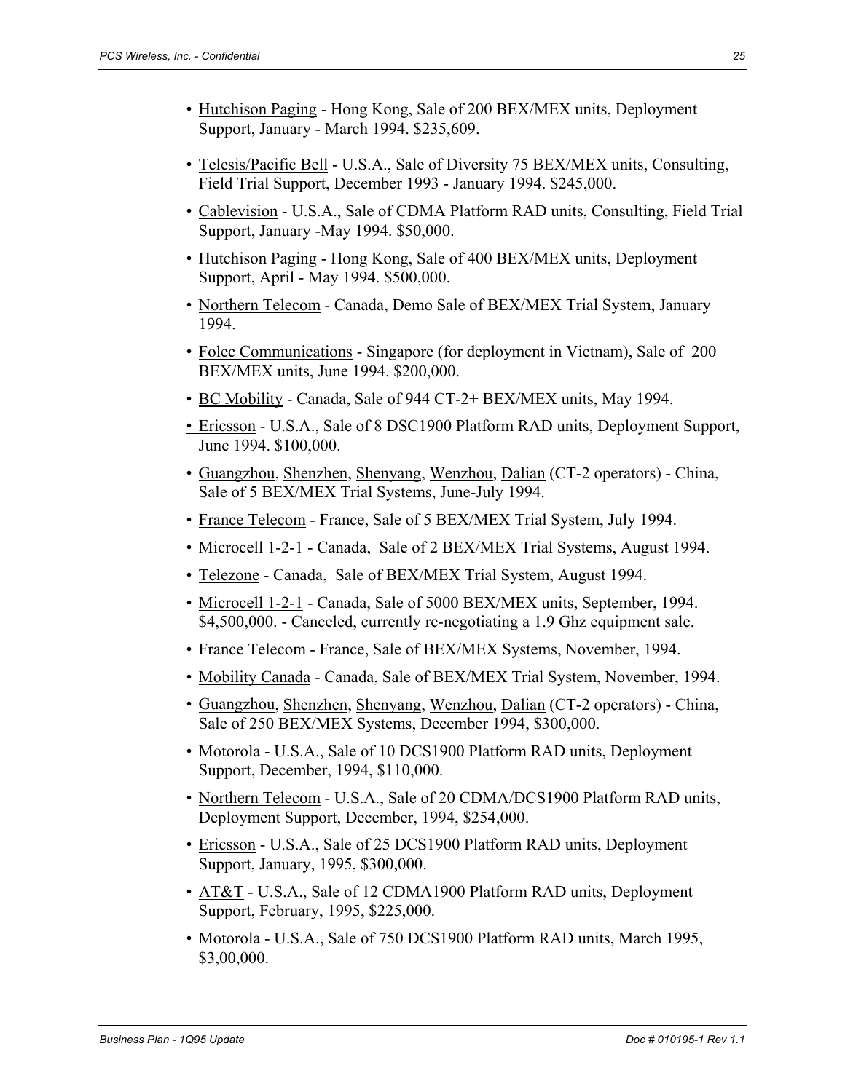- Hutchison Paging Hong Kong, Sale of 200 BEX/MEX units, Deployment Support, January - March 1994. \$235,609.
- Telesis/Pacific Bell U.S.A., Sale of Diversity 75 BEX/MEX units, Consulting, Field Trial Support, December 1993 - January 1994. \$245,000.
- Cablevision U.S.A., Sale of CDMA Platform RAD units, Consulting, Field Trial Support, January -May 1994. \$50,000.
- Hutchison Paging Hong Kong, Sale of 400 BEX/MEX units, Deployment Support, April - May 1994. \$500,000.
- Northern Telecom Canada, Demo Sale of BEX/MEX Trial System, January 1994.
- Folec Communications Singapore (for deployment in Vietnam), Sale of 200 BEX/MEX units, June 1994. \$200,000.
- BC Mobility Canada, Sale of 944 CT-2+ BEX/MEX units, May 1994.
- Ericsson U.S.A., Sale of 8 DSC1900 Platform RAD units, Deployment Support, June 1994. \$100,000.
- Guangzhou, Shenzhen, Shenyang, Wenzhou, Dalian (CT-2 operators) China, Sale of 5 BEX/MEX Trial Systems, June-July 1994.
- France Telecom France, Sale of 5 BEX/MEX Trial System, July 1994.
- Microcell 1-2-1 Canada, Sale of 2 BEX/MEX Trial Systems, August 1994.
- Telezone Canada, Sale of BEX/MEX Trial System, August 1994.
- Microcell 1-2-1 Canada, Sale of 5000 BEX/MEX units, September, 1994. \$4,500,000. - Canceled, currently re-negotiating a 1.9 Ghz equipment sale.
- France Telecom France, Sale of BEX/MEX Systems, November, 1994.
- Mobility Canada Canada, Sale of BEX/MEX Trial System, November, 1994.
- Guangzhou, Shenzhen, Shenyang, Wenzhou, Dalian (CT-2 operators) China, Sale of 250 BEX/MEX Systems, December 1994, \$300,000.
- Motorola U.S.A., Sale of 10 DCS1900 Platform RAD units, Deployment Support, December, 1994, \$110,000.
- Northern Telecom U.S.A., Sale of 20 CDMA/DCS1900 Platform RAD units, Deployment Support, December, 1994, \$254,000.
- Ericsson U.S.A., Sale of 25 DCS1900 Platform RAD units, Deployment Support, January, 1995, \$300,000.
- AT&T U.S.A., Sale of 12 CDMA1900 Platform RAD units, Deployment Support, February, 1995, \$225,000.
- Motorola U.S.A., Sale of 750 DCS1900 Platform RAD units, March 1995, \$3,00,000.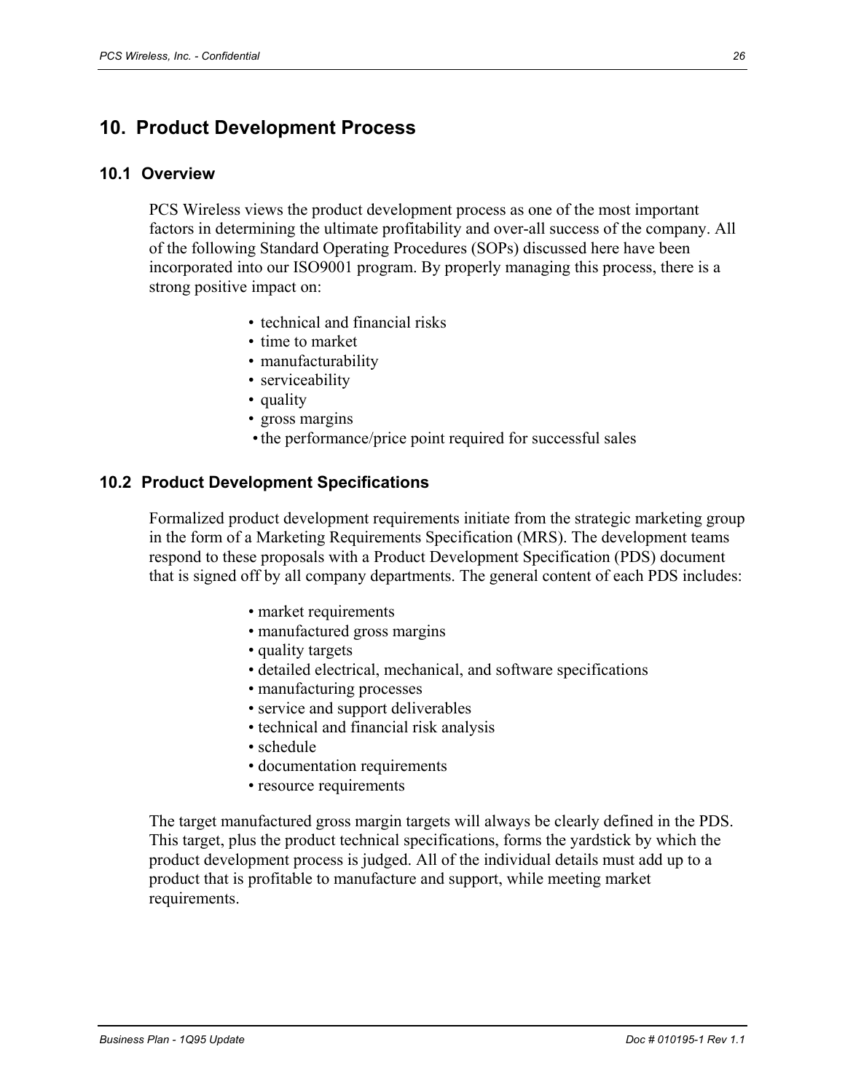# **10. Product Development Process**

#### **10.1 Overview**

PCS Wireless views the product development process as one of the most important factors in determining the ultimate profitability and over-all success of the company. All of the following Standard Operating Procedures (SOPs) discussed here have been incorporated into our ISO9001 program. By properly managing this process, there is a strong positive impact on:

- technical and financial risks
- time to market
- manufacturability
- serviceability
- quality
- gross margins
- the performance/price point required for successful sales

#### **10.2 Product Development Specifications**

Formalized product development requirements initiate from the strategic marketing group in the form of a Marketing Requirements Specification (MRS). The development teams respond to these proposals with a Product Development Specification (PDS) document that is signed off by all company departments. The general content of each PDS includes:

- market requirements
- manufactured gross margins
- quality targets
- detailed electrical, mechanical, and software specifications
- manufacturing processes
- service and support deliverables
- technical and financial risk analysis
- schedule
- documentation requirements
- resource requirements

The target manufactured gross margin targets will always be clearly defined in the PDS. This target, plus the product technical specifications, forms the yardstick by which the product development process is judged. All of the individual details must add up to a product that is profitable to manufacture and support, while meeting market requirements.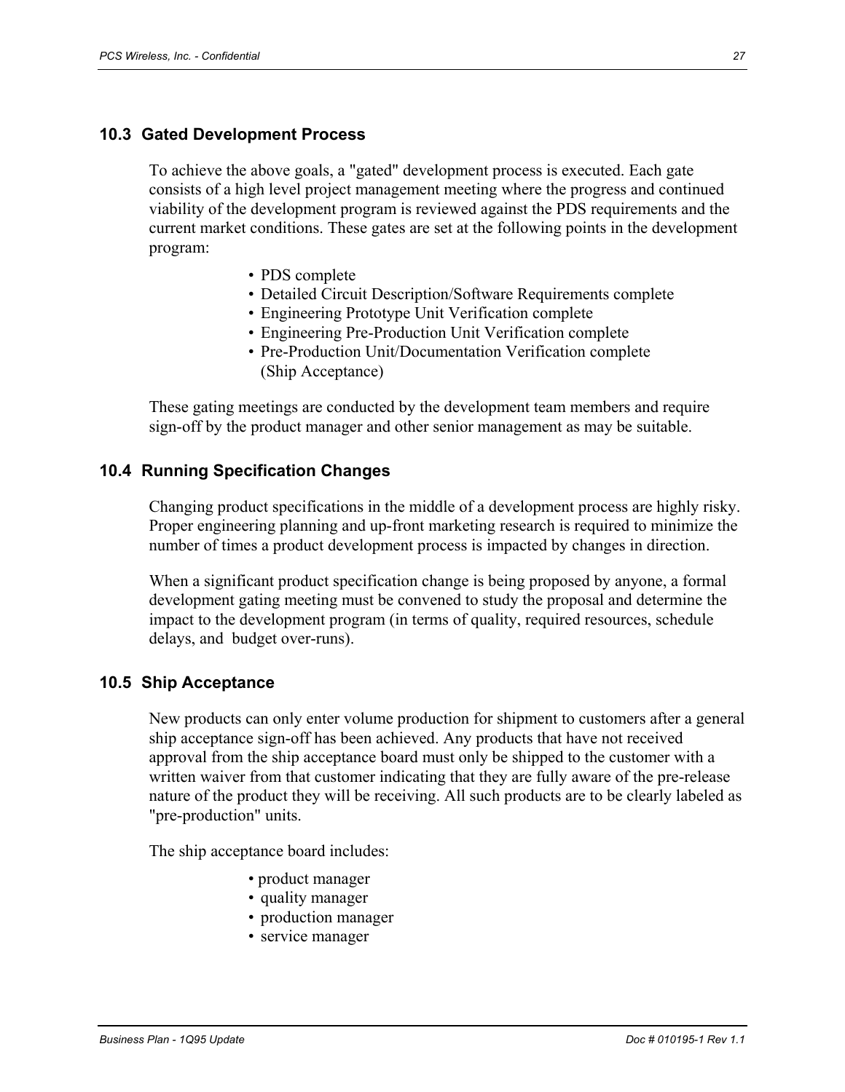#### **10.3 Gated Development Process**

To achieve the above goals, a "gated" development process is executed. Each gate consists of a high level project management meeting where the progress and continued viability of the development program is reviewed against the PDS requirements and the current market conditions. These gates are set at the following points in the development program:

- PDS complete
- Detailed Circuit Description/Software Requirements complete
- Engineering Prototype Unit Verification complete
- Engineering Pre-Production Unit Verification complete
- Pre-Production Unit/Documentation Verification complete (Ship Acceptance)

These gating meetings are conducted by the development team members and require sign-off by the product manager and other senior management as may be suitable.

#### **10.4 Running Specification Changes**

Changing product specifications in the middle of a development process are highly risky. Proper engineering planning and up-front marketing research is required to minimize the number of times a product development process is impacted by changes in direction.

When a significant product specification change is being proposed by anyone, a formal development gating meeting must be convened to study the proposal and determine the impact to the development program (in terms of quality, required resources, schedule delays, and budget over-runs).

#### **10.5 Ship Acceptance**

New products can only enter volume production for shipment to customers after a general ship acceptance sign-off has been achieved. Any products that have not received approval from the ship acceptance board must only be shipped to the customer with a written waiver from that customer indicating that they are fully aware of the pre-release nature of the product they will be receiving. All such products are to be clearly labeled as "pre-production" units.

The ship acceptance board includes:

- product manager
- quality manager
- production manager
- service manager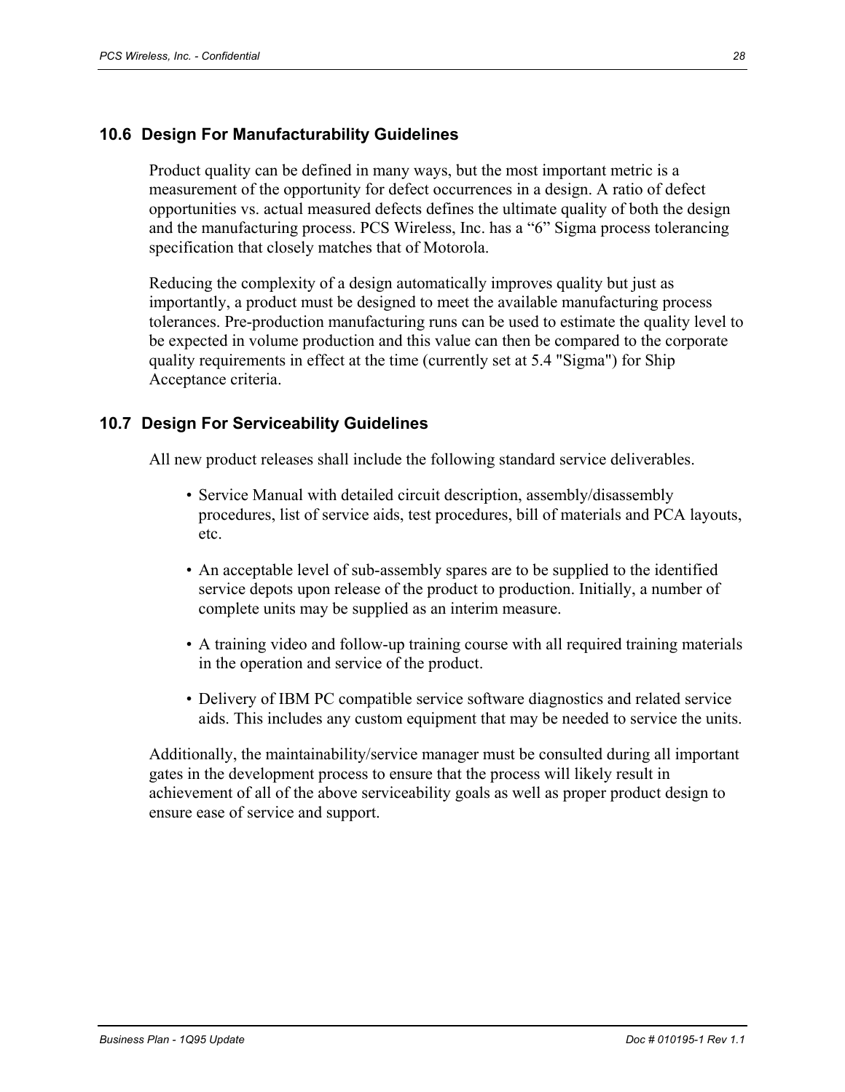#### **10.6 Design For Manufacturability Guidelines**

Product quality can be defined in many ways, but the most important metric is a measurement of the opportunity for defect occurrences in a design. A ratio of defect opportunities vs. actual measured defects defines the ultimate quality of both the design and the manufacturing process. PCS Wireless, Inc. has a "6" Sigma process tolerancing specification that closely matches that of Motorola.

Reducing the complexity of a design automatically improves quality but just as importantly, a product must be designed to meet the available manufacturing process tolerances. Pre-production manufacturing runs can be used to estimate the quality level to be expected in volume production and this value can then be compared to the corporate quality requirements in effect at the time (currently set at 5.4 "Sigma") for Ship Acceptance criteria.

#### **10.7 Design For Serviceability Guidelines**

All new product releases shall include the following standard service deliverables.

- Service Manual with detailed circuit description, assembly/disassembly procedures, list of service aids, test procedures, bill of materials and PCA layouts, etc.
- An acceptable level of sub-assembly spares are to be supplied to the identified service depots upon release of the product to production. Initially, a number of complete units may be supplied as an interim measure.
- A training video and follow-up training course with all required training materials in the operation and service of the product.
- Delivery of IBM PC compatible service software diagnostics and related service aids. This includes any custom equipment that may be needed to service the units.

Additionally, the maintainability/service manager must be consulted during all important gates in the development process to ensure that the process will likely result in achievement of all of the above serviceability goals as well as proper product design to ensure ease of service and support.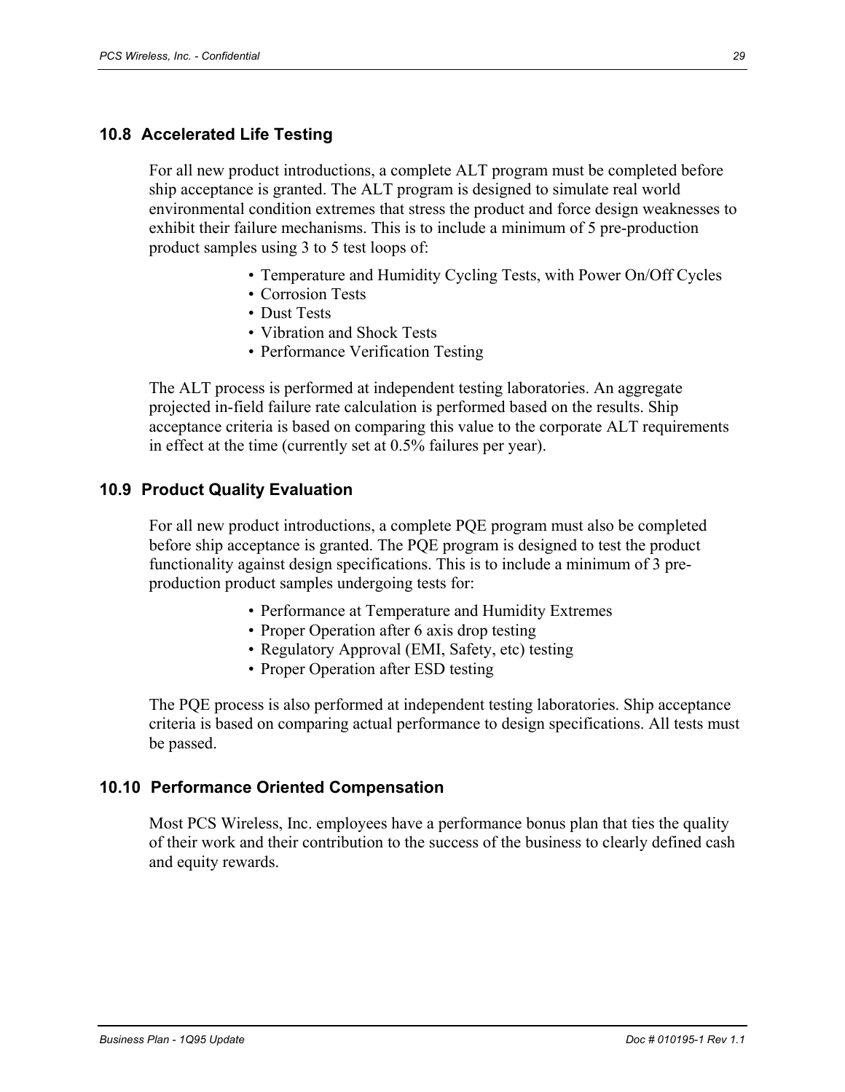#### **10.8 Accelerated Life Testing**

For all new product introductions, a complete ALT program must be completed before ship acceptance is granted. The ALT program is designed to simulate real world environmental condition extremes that stress the product and force design weaknesses to exhibit their failure mechanisms. This is to include a minimum of 5 pre-production product samples using 3 to 5 test loops of:

- Temperature and Humidity Cycling Tests, with Power On/Off Cycles
- Corrosion Tests
- Dust Tests
- Vibration and Shock Tests
- Performance Verification Testing

The ALT process is performed at independent testing laboratories. An aggregate projected in-field failure rate calculation is performed based on the results. Ship acceptance criteria is based on comparing this value to the corporate ALT requirements in effect at the time (currently set at 0.5% failures per year).

#### **10.9 Product Quality Evaluation**

For all new product introductions, a complete PQE program must also be completed before ship acceptance is granted. The PQE program is designed to test the product functionality against design specifications. This is to include a minimum of 3 preproduction product samples undergoing tests for:

- Performance at Temperature and Humidity Extremes
- Proper Operation after 6 axis drop testing
- Regulatory Approval (EMI, Safety, etc) testing
- Proper Operation after ESD testing

The PQE process is also performed at independent testing laboratories. Ship acceptance criteria is based on comparing actual performance to design specifications. All tests must be passed.

#### **10.10 Performance Oriented Compensation**

Most PCS Wireless, Inc. employees have a performance bonus plan that ties the quality of their work and their contribution to the success of the business to clearly defined cash and equity rewards.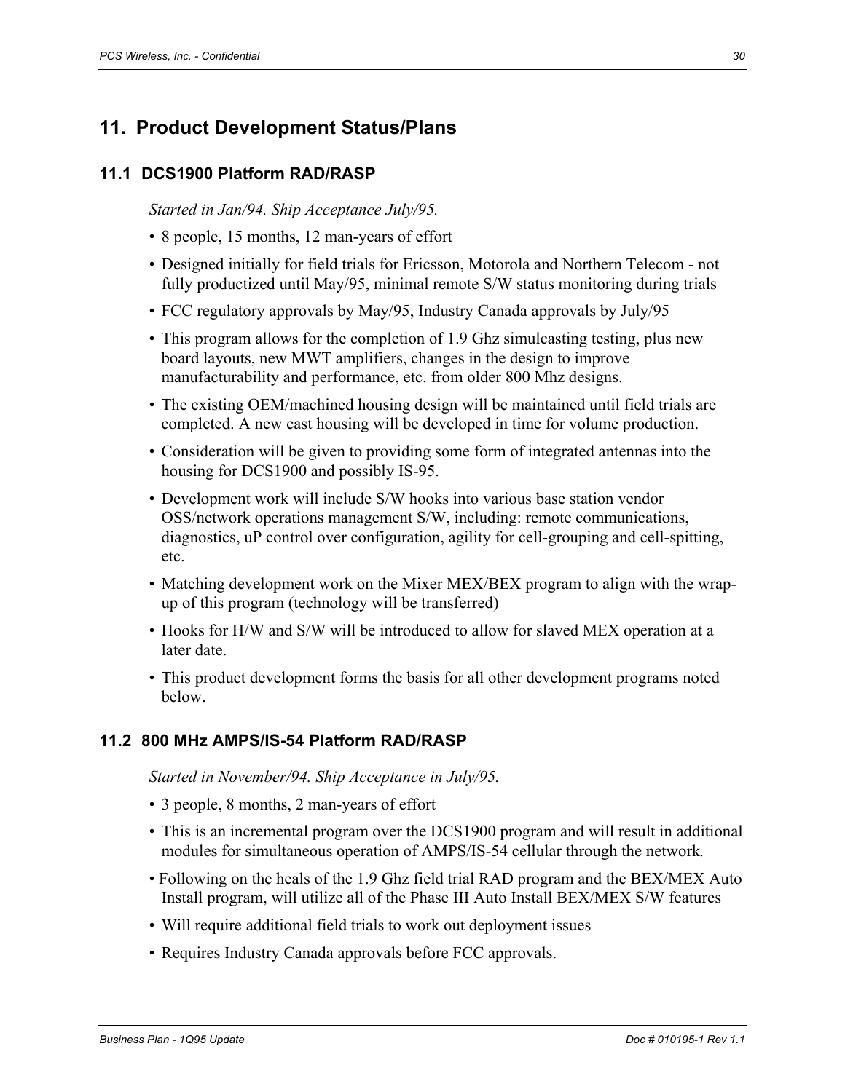# **11. Product Development Status/Plans**

#### **11.1 DCS1900 Platform RAD/RASP**

*Started in Jan/94. Ship Acceptance July/95.* 

- 8 people, 15 months, 12 man-years of effort
- Designed initially for field trials for Ericsson, Motorola and Northern Telecom not fully productized until May/95, minimal remote S/W status monitoring during trials
- FCC regulatory approvals by May/95, Industry Canada approvals by July/95
- This program allows for the completion of 1.9 Ghz simulcasting testing, plus new board layouts, new MWT amplifiers, changes in the design to improve manufacturability and performance, etc. from older 800 Mhz designs.
- The existing OEM/machined housing design will be maintained until field trials are completed. A new cast housing will be developed in time for volume production.
- Consideration will be given to providing some form of integrated antennas into the housing for DCS1900 and possibly IS-95.
- Development work will include S/W hooks into various base station vendor OSS/network operations management S/W, including: remote communications, diagnostics, uP control over configuration, agility for cell-grouping and cell-spitting, etc.
- Matching development work on the Mixer MEX/BEX program to align with the wrapup of this program (technology will be transferred)
- Hooks for H/W and S/W will be introduced to allow for slaved MEX operation at a later date.
- This product development forms the basis for all other development programs noted below.

#### **11.2 800 MHz AMPS/IS-54 Platform RAD/RASP**

*Started in November/94. Ship Acceptance in July/95.* 

- 3 people, 8 months, 2 man-years of effort
- This is an incremental program over the DCS1900 program and will result in additional modules for simultaneous operation of AMPS/IS-54 cellular through the network*.*
- Following on the heals of the 1.9 Ghz field trial RAD program and the BEX/MEX Auto Install program, will utilize all of the Phase III Auto Install BEX/MEX S/W features
- Will require additional field trials to work out deployment issues
- Requires Industry Canada approvals before FCC approvals.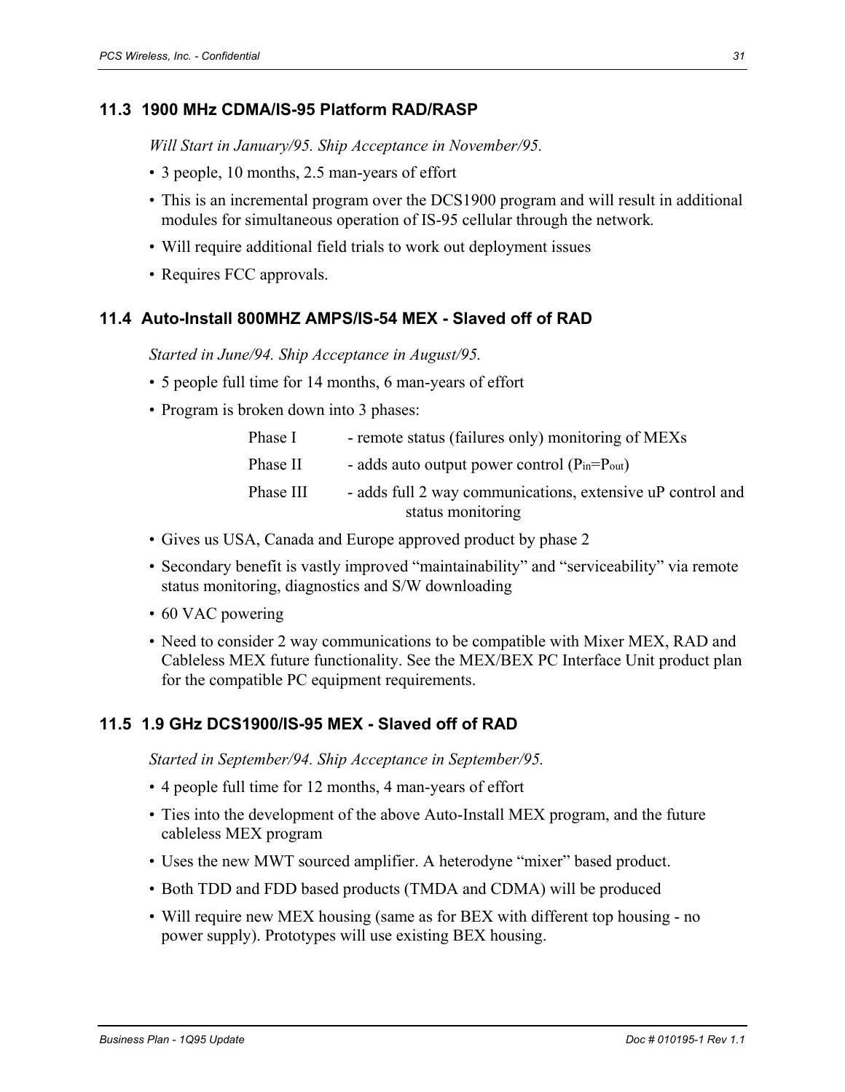#### **11.3 1900 MHz CDMA/IS-95 Platform RAD/RASP**

*Will Start in January/95. Ship Acceptance in November/95.* 

- 3 people, 10 months, 2.5 man-years of effort
- This is an incremental program over the DCS1900 program and will result in additional modules for simultaneous operation of IS-95 cellular through the network*.*
- Will require additional field trials to work out deployment issues
- Requires FCC approvals.

#### **11.4 Auto-Install 800MHZ AMPS/IS-54 MEX - Slaved off of RAD**

*Started in June/94. Ship Acceptance in August/95.* 

- 5 people full time for 14 months, 6 man-years of effort
- Program is broken down into 3 phases:

| Phase I   | - remote status (failures only) monitoring of MEXs         |
|-----------|------------------------------------------------------------|
| Phase II  | - adds auto output power control ( $P_{in} = P_{out}$ )    |
| Phase III | - adds full 2 way communications, extensive uP control and |
|           | status monitoring                                          |

- Gives us USA, Canada and Europe approved product by phase 2
- Secondary benefit is vastly improved "maintainability" and "serviceability" via remote status monitoring, diagnostics and S/W downloading
- 60 VAC powering
- Need to consider 2 way communications to be compatible with Mixer MEX, RAD and Cableless MEX future functionality. See the MEX/BEX PC Interface Unit product plan for the compatible PC equipment requirements.

#### **11.5 1.9 GHz DCS1900/IS-95 MEX - Slaved off of RAD**

*Started in September/94. Ship Acceptance in September/95.* 

- 4 people full time for 12 months, 4 man-years of effort
- Ties into the development of the above Auto-Install MEX program, and the future cableless MEX program
- Uses the new MWT sourced amplifier. A heterodyne "mixer" based product.
- Both TDD and FDD based products (TMDA and CDMA) will be produced
- Will require new MEX housing (same as for BEX with different top housing no power supply). Prototypes will use existing BEX housing.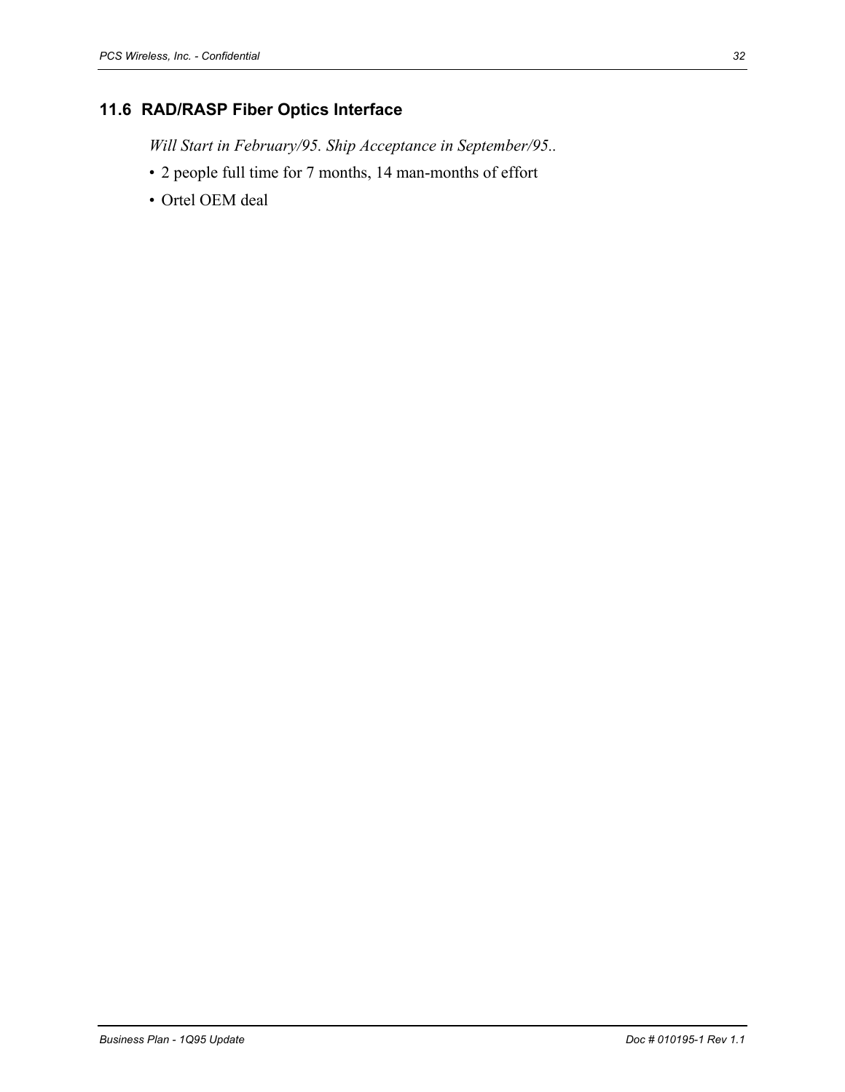# **11.6 RAD/RASP Fiber Optics Interface**

*Will Start in February/95. Ship Acceptance in September/95..* 

- 2 people full time for 7 months, 14 man-months of effort
- Ortel OEM deal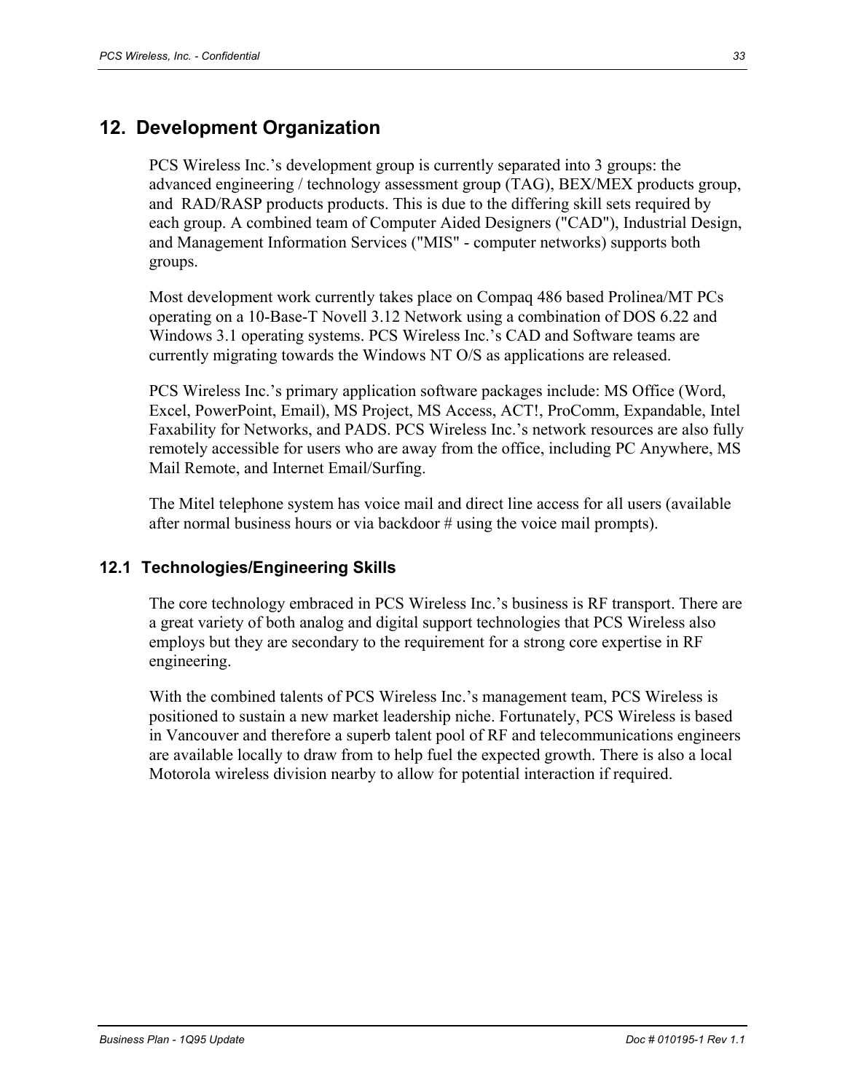## **12. Development Organization**

PCS Wireless Inc.'s development group is currently separated into 3 groups: the advanced engineering / technology assessment group (TAG), BEX/MEX products group, and RAD/RASP products products. This is due to the differing skill sets required by each group. A combined team of Computer Aided Designers ("CAD"), Industrial Design, and Management Information Services ("MIS" - computer networks) supports both groups.

Most development work currently takes place on Compaq 486 based Prolinea/MT PCs operating on a 10-Base-T Novell 3.12 Network using a combination of DOS 6.22 and Windows 3.1 operating systems. PCS Wireless Inc.'s CAD and Software teams are currently migrating towards the Windows NT O/S as applications are released.

PCS Wireless Inc.'s primary application software packages include: MS Office (Word, Excel, PowerPoint, Email), MS Project, MS Access, ACT!, ProComm, Expandable, Intel Faxability for Networks, and PADS. PCS Wireless Inc.'s network resources are also fully remotely accessible for users who are away from the office, including PC Anywhere, MS Mail Remote, and Internet Email/Surfing.

The Mitel telephone system has voice mail and direct line access for all users (available after normal business hours or via backdoor # using the voice mail prompts).

#### **12.1 Technologies/Engineering Skills**

The core technology embraced in PCS Wireless Inc.'s business is RF transport. There are a great variety of both analog and digital support technologies that PCS Wireless also employs but they are secondary to the requirement for a strong core expertise in RF engineering.

With the combined talents of PCS Wireless Inc.'s management team, PCS Wireless is positioned to sustain a new market leadership niche. Fortunately, PCS Wireless is based in Vancouver and therefore a superb talent pool of RF and telecommunications engineers are available locally to draw from to help fuel the expected growth. There is also a local Motorola wireless division nearby to allow for potential interaction if required.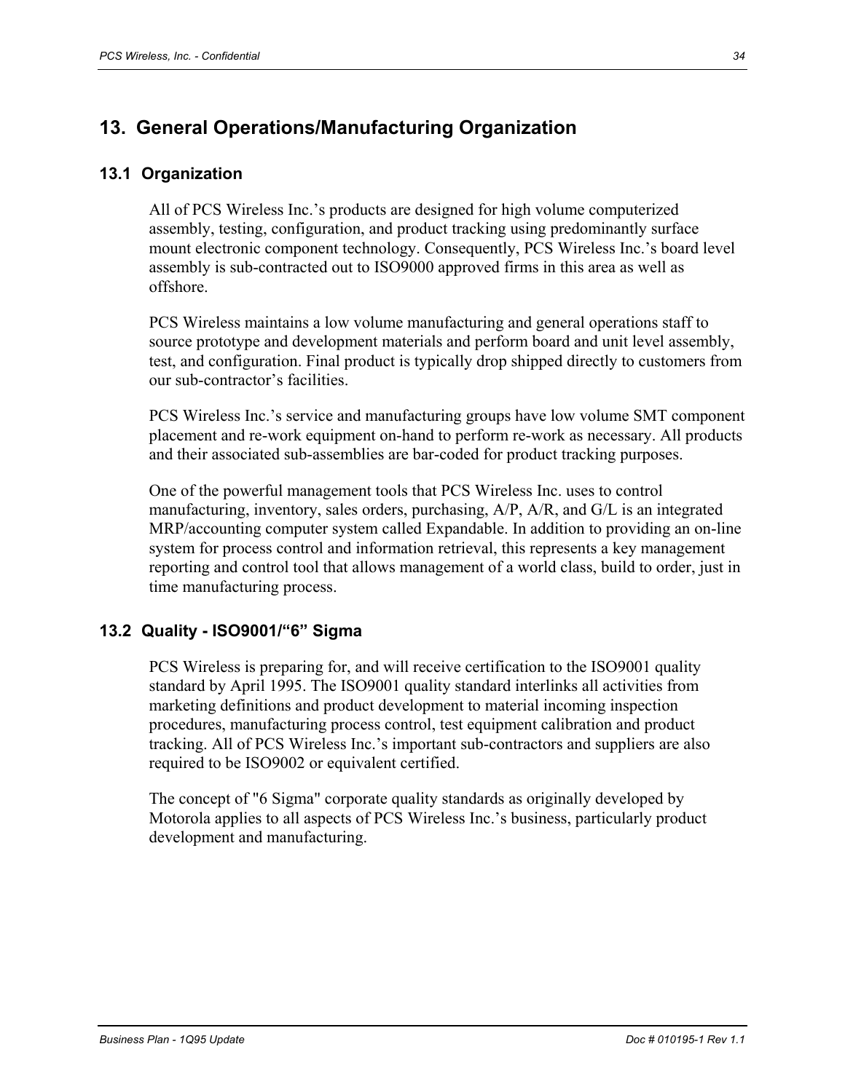# **13. General Operations/Manufacturing Organization**

#### **13.1 Organization**

All of PCS Wireless Inc.'s products are designed for high volume computerized assembly, testing, configuration, and product tracking using predominantly surface mount electronic component technology. Consequently, PCS Wireless Inc.'s board level assembly is sub-contracted out to ISO9000 approved firms in this area as well as offshore.

PCS Wireless maintains a low volume manufacturing and general operations staff to source prototype and development materials and perform board and unit level assembly, test, and configuration. Final product is typically drop shipped directly to customers from our sub-contractor's facilities.

PCS Wireless Inc.'s service and manufacturing groups have low volume SMT component placement and re-work equipment on-hand to perform re-work as necessary. All products and their associated sub-assemblies are bar-coded for product tracking purposes.

One of the powerful management tools that PCS Wireless Inc. uses to control manufacturing, inventory, sales orders, purchasing, A/P, A/R, and G/L is an integrated MRP/accounting computer system called Expandable. In addition to providing an on-line system for process control and information retrieval, this represents a key management reporting and control tool that allows management of a world class, build to order, just in time manufacturing process.

#### **13.2 Quality - ISO9001/"6" Sigma**

PCS Wireless is preparing for, and will receive certification to the ISO9001 quality standard by April 1995. The ISO9001 quality standard interlinks all activities from marketing definitions and product development to material incoming inspection procedures, manufacturing process control, test equipment calibration and product tracking. All of PCS Wireless Inc.'s important sub-contractors and suppliers are also required to be ISO9002 or equivalent certified.

The concept of "6 Sigma" corporate quality standards as originally developed by Motorola applies to all aspects of PCS Wireless Inc.'s business, particularly product development and manufacturing.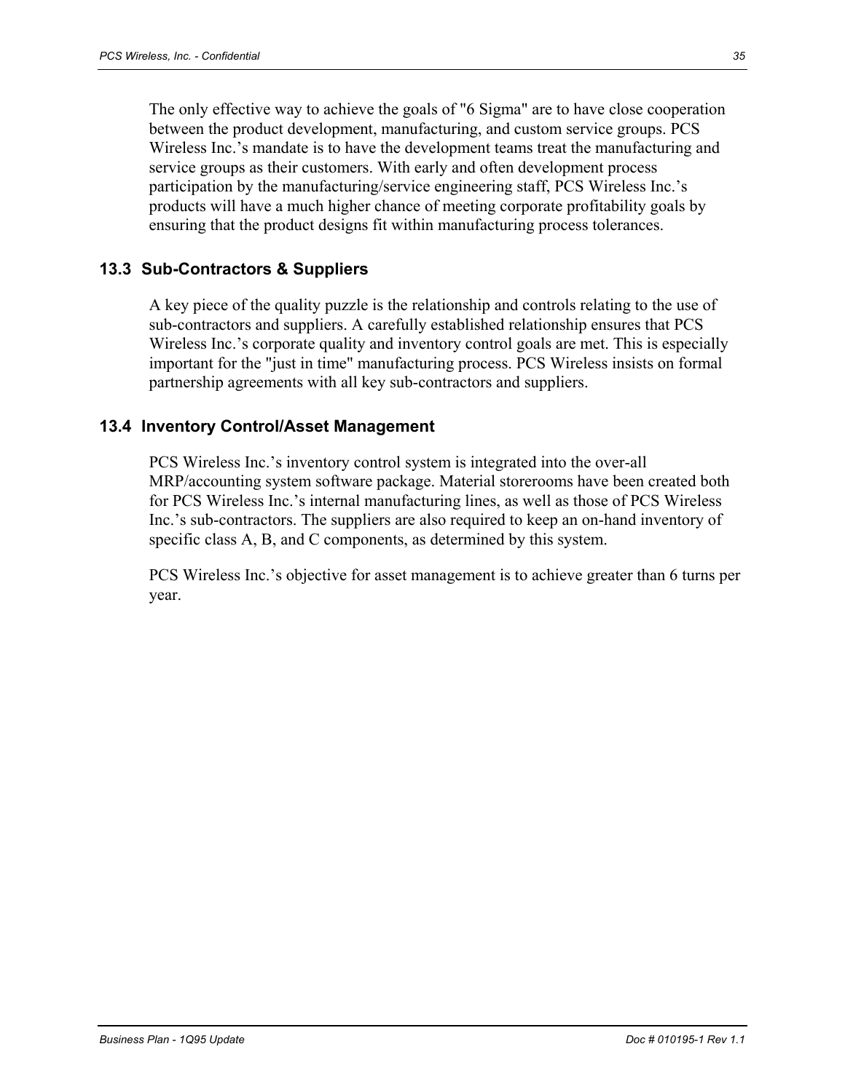The only effective way to achieve the goals of "6 Sigma" are to have close cooperation between the product development, manufacturing, and custom service groups. PCS Wireless Inc.'s mandate is to have the development teams treat the manufacturing and service groups as their customers. With early and often development process participation by the manufacturing/service engineering staff, PCS Wireless Inc.'s products will have a much higher chance of meeting corporate profitability goals by ensuring that the product designs fit within manufacturing process tolerances.

#### **13.3 Sub-Contractors & Suppliers**

A key piece of the quality puzzle is the relationship and controls relating to the use of sub-contractors and suppliers. A carefully established relationship ensures that PCS Wireless Inc.'s corporate quality and inventory control goals are met. This is especially important for the "just in time" manufacturing process. PCS Wireless insists on formal partnership agreements with all key sub-contractors and suppliers.

#### **13.4 Inventory Control/Asset Management**

PCS Wireless Inc.'s inventory control system is integrated into the over-all MRP/accounting system software package. Material storerooms have been created both for PCS Wireless Inc.'s internal manufacturing lines, as well as those of PCS Wireless Inc.'s sub-contractors. The suppliers are also required to keep an on-hand inventory of specific class A, B, and C components, as determined by this system.

PCS Wireless Inc.'s objective for asset management is to achieve greater than 6 turns per year.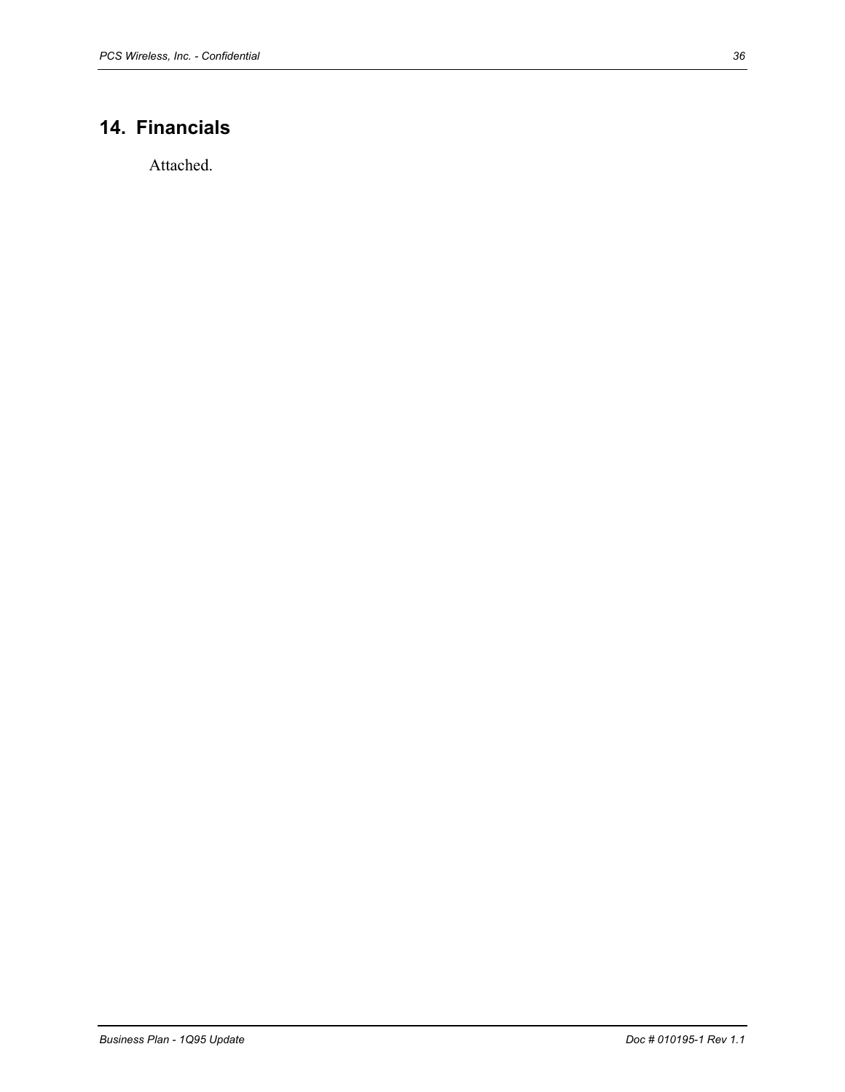# **14. Financials**

Attached.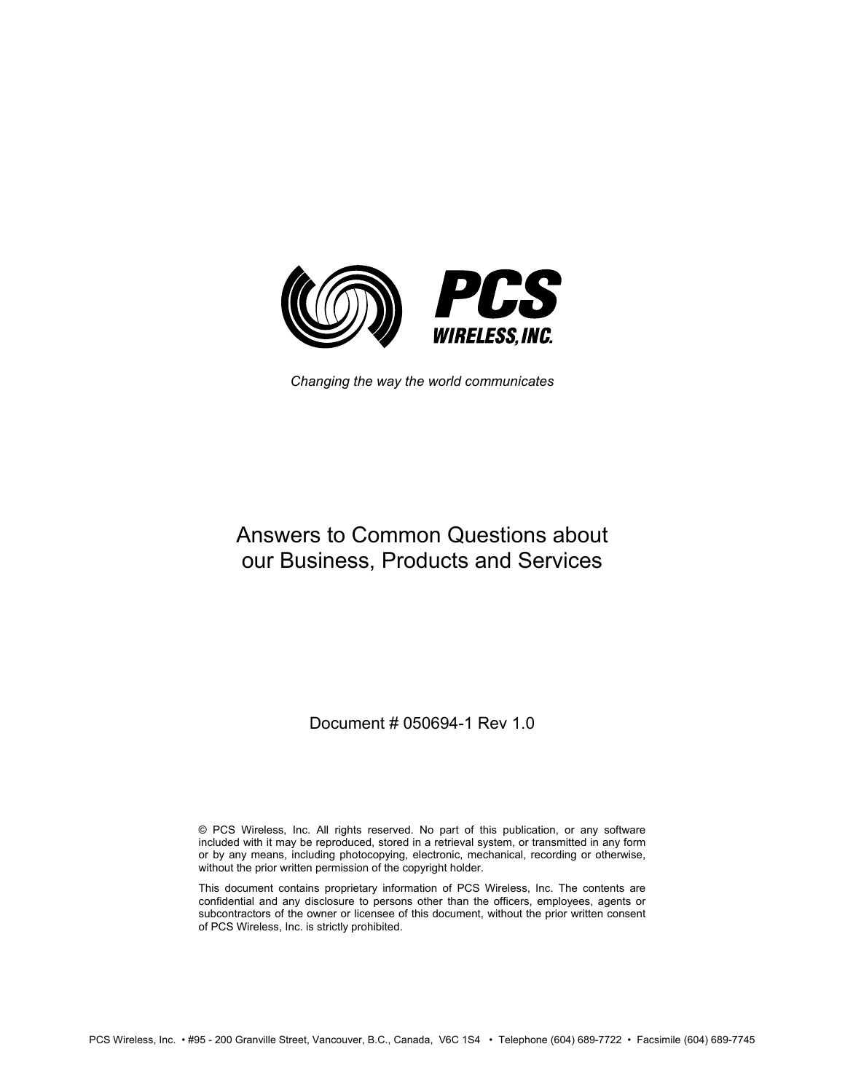

*Changing the way the world communicates* 

# Answers to Common Questions about our Business, Products and Services

Document # 050694-1 Rev 1.0

© PCS Wireless, Inc. All rights reserved. No part of this publication, or any software included with it may be reproduced, stored in a retrieval system, or transmitted in any form or by any means, including photocopying, electronic, mechanical, recording or otherwise, without the prior written permission of the copyright holder.

This document contains proprietary information of PCS Wireless, Inc. The contents are confidential and any disclosure to persons other than the officers, employees, agents or subcontractors of the owner or licensee of this document, without the prior written consent of PCS Wireless, Inc. is strictly prohibited.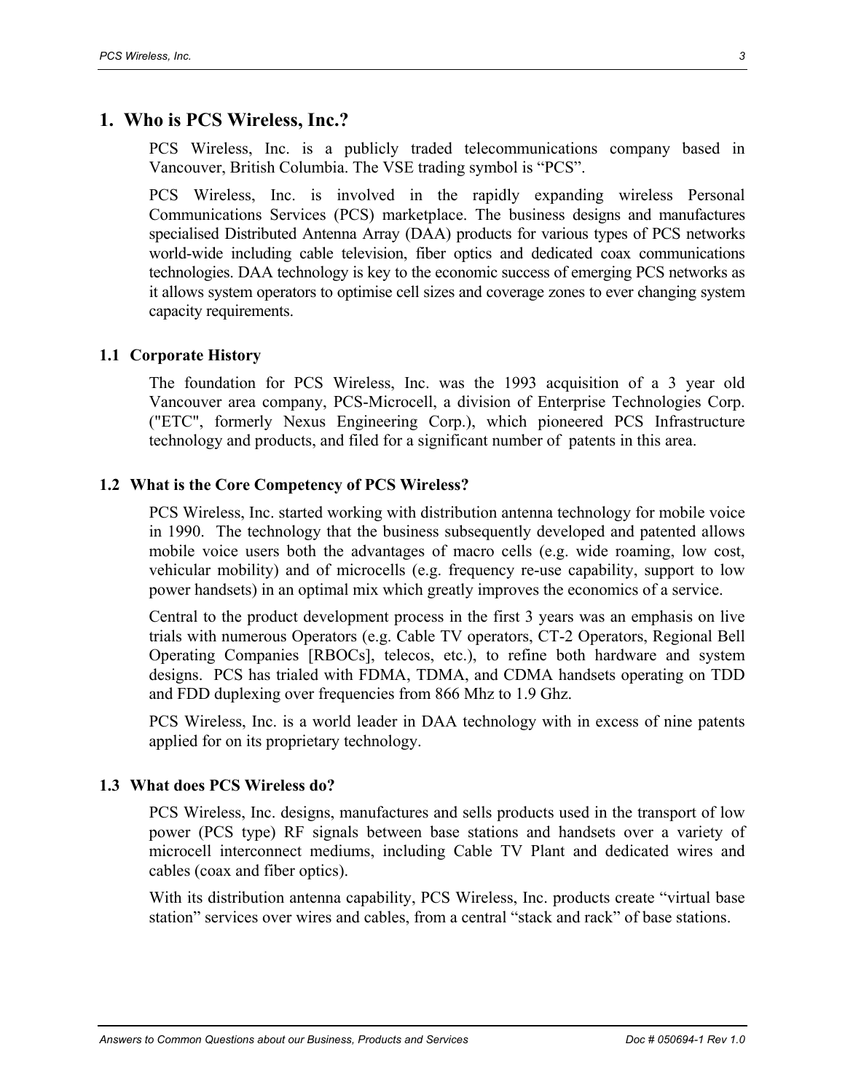#### **1. Who is PCS Wireless, Inc.?**

PCS Wireless, Inc. is a publicly traded telecommunications company based in Vancouver, British Columbia. The VSE trading symbol is "PCS".

PCS Wireless, Inc. is involved in the rapidly expanding wireless Personal Communications Services (PCS) marketplace. The business designs and manufactures specialised Distributed Antenna Array (DAA) products for various types of PCS networks world-wide including cable television, fiber optics and dedicated coax communications technologies. DAA technology is key to the economic success of emerging PCS networks as it allows system operators to optimise cell sizes and coverage zones to ever changing system capacity requirements.

#### **1.1 Corporate History**

The foundation for PCS Wireless, Inc. was the 1993 acquisition of a 3 year old Vancouver area company, PCS-Microcell, a division of Enterprise Technologies Corp. ("ETC", formerly Nexus Engineering Corp.), which pioneered PCS Infrastructure technology and products, and filed for a significant number of patents in this area.

#### **1.2 What is the Core Competency of PCS Wireless?**

PCS Wireless, Inc. started working with distribution antenna technology for mobile voice in 1990. The technology that the business subsequently developed and patented allows mobile voice users both the advantages of macro cells (e.g. wide roaming, low cost, vehicular mobility) and of microcells (e.g. frequency re-use capability, support to low power handsets) in an optimal mix which greatly improves the economics of a service.

Central to the product development process in the first 3 years was an emphasis on live trials with numerous Operators (e.g. Cable TV operators, CT-2 Operators, Regional Bell Operating Companies [RBOCs], telecos, etc.), to refine both hardware and system designs. PCS has trialed with FDMA, TDMA, and CDMA handsets operating on TDD and FDD duplexing over frequencies from 866 Mhz to 1.9 Ghz.

PCS Wireless, Inc. is a world leader in DAA technology with in excess of nine patents applied for on its proprietary technology.

#### **1.3 What does PCS Wireless do?**

PCS Wireless, Inc. designs, manufactures and sells products used in the transport of low power (PCS type) RF signals between base stations and handsets over a variety of microcell interconnect mediums, including Cable TV Plant and dedicated wires and cables (coax and fiber optics).

With its distribution antenna capability, PCS Wireless, Inc. products create "virtual base station" services over wires and cables, from a central "stack and rack" of base stations.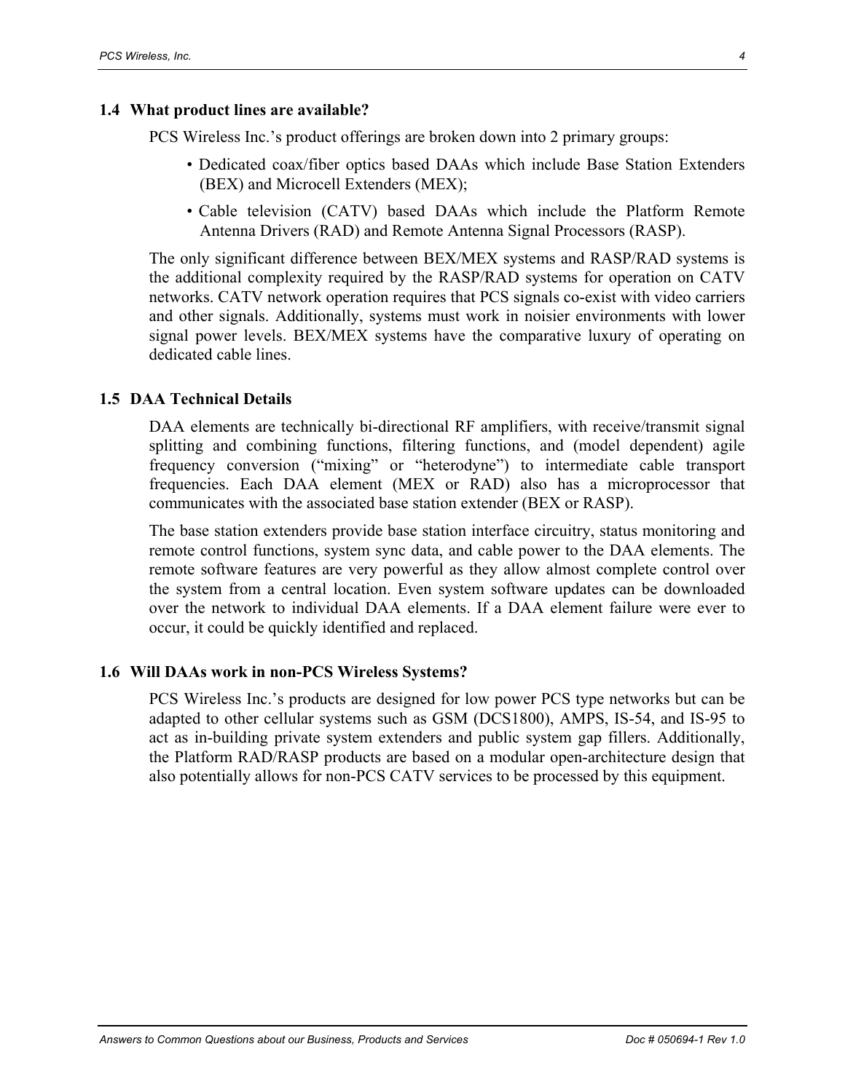#### **1.4 What product lines are available?**

PCS Wireless Inc.'s product offerings are broken down into 2 primary groups:

- Dedicated coax/fiber optics based DAAs which include Base Station Extenders (BEX) and Microcell Extenders (MEX);
- Cable television (CATV) based DAAs which include the Platform Remote Antenna Drivers (RAD) and Remote Antenna Signal Processors (RASP).

The only significant difference between BEX/MEX systems and RASP/RAD systems is the additional complexity required by the RASP/RAD systems for operation on CATV networks. CATV network operation requires that PCS signals co-exist with video carriers and other signals. Additionally, systems must work in noisier environments with lower signal power levels. BEX/MEX systems have the comparative luxury of operating on dedicated cable lines.

#### **1.5 DAA Technical Details**

DAA elements are technically bi-directional RF amplifiers, with receive/transmit signal splitting and combining functions, filtering functions, and (model dependent) agile frequency conversion ("mixing" or "heterodyne") to intermediate cable transport frequencies. Each DAA element (MEX or RAD) also has a microprocessor that communicates with the associated base station extender (BEX or RASP).

The base station extenders provide base station interface circuitry, status monitoring and remote control functions, system sync data, and cable power to the DAA elements. The remote software features are very powerful as they allow almost complete control over the system from a central location. Even system software updates can be downloaded over the network to individual DAA elements. If a DAA element failure were ever to occur, it could be quickly identified and replaced.

#### **1.6 Will DAAs work in non-PCS Wireless Systems?**

PCS Wireless Inc.'s products are designed for low power PCS type networks but can be adapted to other cellular systems such as GSM (DCS1800), AMPS, IS-54, and IS-95 to act as in-building private system extenders and public system gap fillers. Additionally, the Platform RAD/RASP products are based on a modular open-architecture design that also potentially allows for non-PCS CATV services to be processed by this equipment.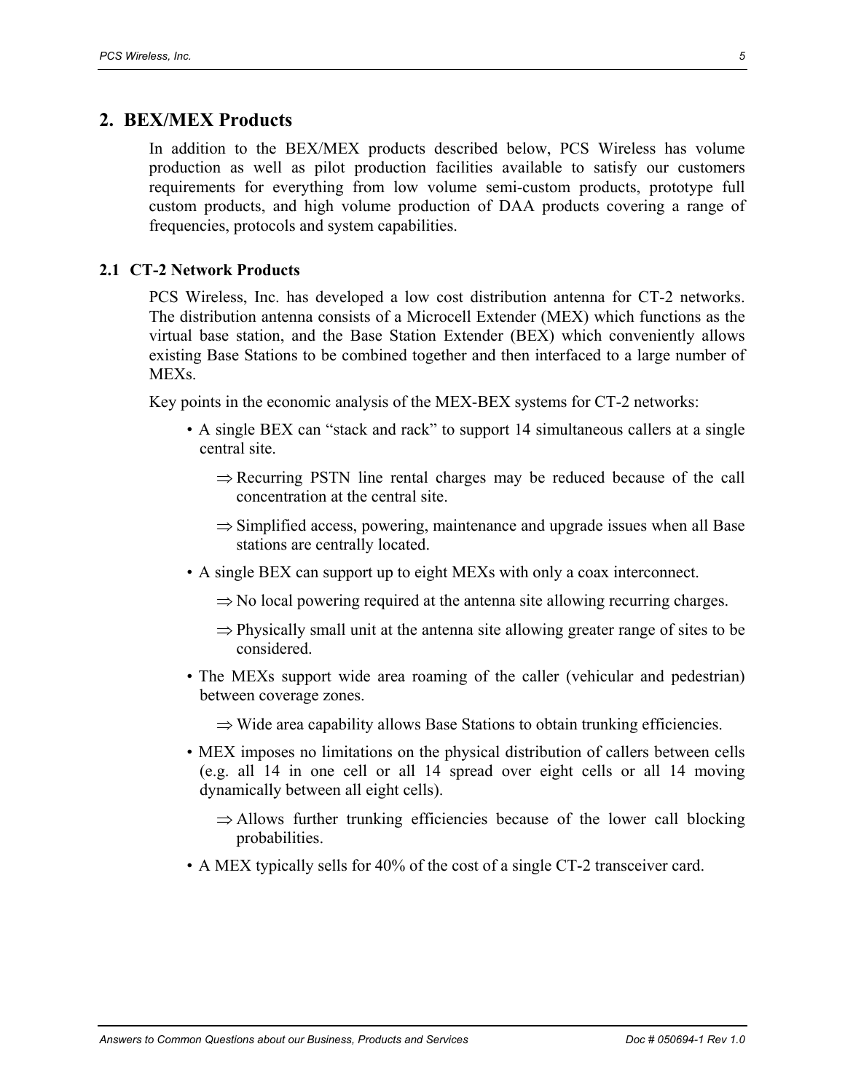#### **2. BEX/MEX Products**

In addition to the BEX/MEX products described below, PCS Wireless has volume production as well as pilot production facilities available to satisfy our customers requirements for everything from low volume semi-custom products, prototype full custom products, and high volume production of DAA products covering a range of frequencies, protocols and system capabilities.

#### **2.1 CT-2 Network Products**

PCS Wireless, Inc. has developed a low cost distribution antenna for CT-2 networks. The distribution antenna consists of a Microcell Extender (MEX) which functions as the virtual base station, and the Base Station Extender (BEX) which conveniently allows existing Base Stations to be combined together and then interfaced to a large number of **MEXs**.

Key points in the economic analysis of the MEX-BEX systems for CT-2 networks:

- A single BEX can "stack and rack" to support 14 simultaneous callers at a single central site.
	- ⇒ Recurring PSTN line rental charges may be reduced because of the call concentration at the central site.
	- ⇒ Simplified access, powering, maintenance and upgrade issues when all Base stations are centrally located.
- A single BEX can support up to eight MEXs with only a coax interconnect.
	- $\Rightarrow$  No local powering required at the antenna site allowing recurring charges.
	- $\Rightarrow$  Physically small unit at the antenna site allowing greater range of sites to be considered.
- The MEXs support wide area roaming of the caller (vehicular and pedestrian) between coverage zones.
	- $\Rightarrow$  Wide area capability allows Base Stations to obtain trunking efficiencies.
- MEX imposes no limitations on the physical distribution of callers between cells (e.g. all 14 in one cell or all 14 spread over eight cells or all 14 moving dynamically between all eight cells).
	- $\Rightarrow$  Allows further trunking efficiencies because of the lower call blocking probabilities.
- A MEX typically sells for 40% of the cost of a single CT-2 transceiver card.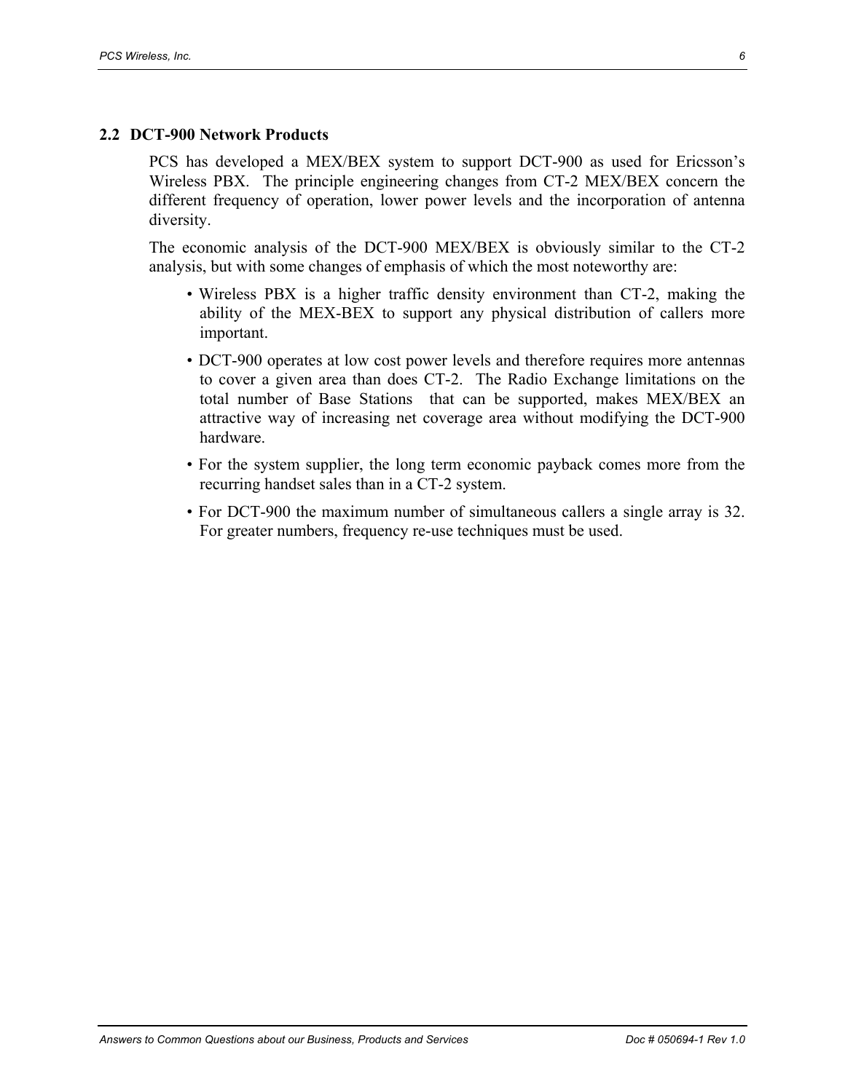#### **2.2 DCT-900 Network Products**

PCS has developed a MEX/BEX system to support DCT-900 as used for Ericsson's Wireless PBX. The principle engineering changes from CT-2 MEX/BEX concern the different frequency of operation, lower power levels and the incorporation of antenna diversity.

The economic analysis of the DCT-900 MEX/BEX is obviously similar to the CT-2 analysis, but with some changes of emphasis of which the most noteworthy are:

- Wireless PBX is a higher traffic density environment than CT-2, making the ability of the MEX-BEX to support any physical distribution of callers more important.
- DCT-900 operates at low cost power levels and therefore requires more antennas to cover a given area than does CT-2. The Radio Exchange limitations on the total number of Base Stations that can be supported, makes MEX/BEX an attractive way of increasing net coverage area without modifying the DCT-900 hardware.
- For the system supplier, the long term economic payback comes more from the recurring handset sales than in a CT-2 system.
- For DCT-900 the maximum number of simultaneous callers a single array is 32. For greater numbers, frequency re-use techniques must be used.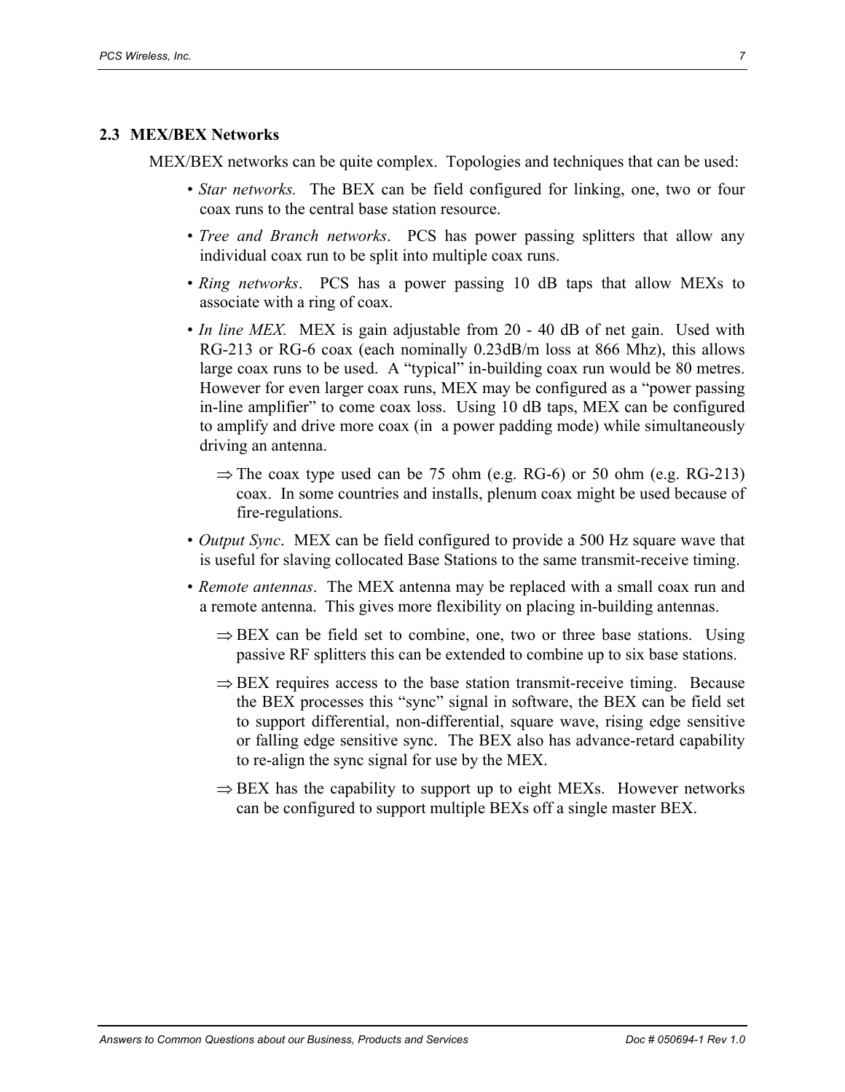#### **2.3 MEX/BEX Networks**

MEX/BEX networks can be quite complex. Topologies and techniques that can be used:

- *Star networks.* The BEX can be field configured for linking, one, two or four coax runs to the central base station resource.
- *Tree and Branch networks*. PCS has power passing splitters that allow any individual coax run to be split into multiple coax runs.
- *Ring networks*. PCS has a power passing 10 dB taps that allow MEXs to associate with a ring of coax.
- *In line MEX.* MEX is gain adjustable from 20 40 dB of net gain. Used with RG-213 or RG-6 coax (each nominally 0.23dB/m loss at 866 Mhz), this allows large coax runs to be used. A "typical" in-building coax run would be 80 metres. However for even larger coax runs, MEX may be configured as a "power passing in-line amplifier" to come coax loss. Using 10 dB taps, MEX can be configured to amplify and drive more coax (in a power padding mode) while simultaneously driving an antenna.
	- $\Rightarrow$  The coax type used can be 75 ohm (e.g. RG-6) or 50 ohm (e.g. RG-213) coax. In some countries and installs, plenum coax might be used because of fire-regulations.
- *Output Sync*. MEX can be field configured to provide a 500 Hz square wave that is useful for slaving collocated Base Stations to the same transmit-receive timing.
- *Remote antennas*. The MEX antenna may be replaced with a small coax run and a remote antenna. This gives more flexibility on placing in-building antennas.
	- $\Rightarrow$  BEX can be field set to combine, one, two or three base stations. Using passive RF splitters this can be extended to combine up to six base stations.
	- $\Rightarrow$  BEX requires access to the base station transmit-receive timing. Because the BEX processes this "sync" signal in software, the BEX can be field set to support differential, non-differential, square wave, rising edge sensitive or falling edge sensitive sync. The BEX also has advance-retard capability to re-align the sync signal for use by the MEX.
	- $\Rightarrow$  BEX has the capability to support up to eight MEXs. However networks can be configured to support multiple BEXs off a single master BEX.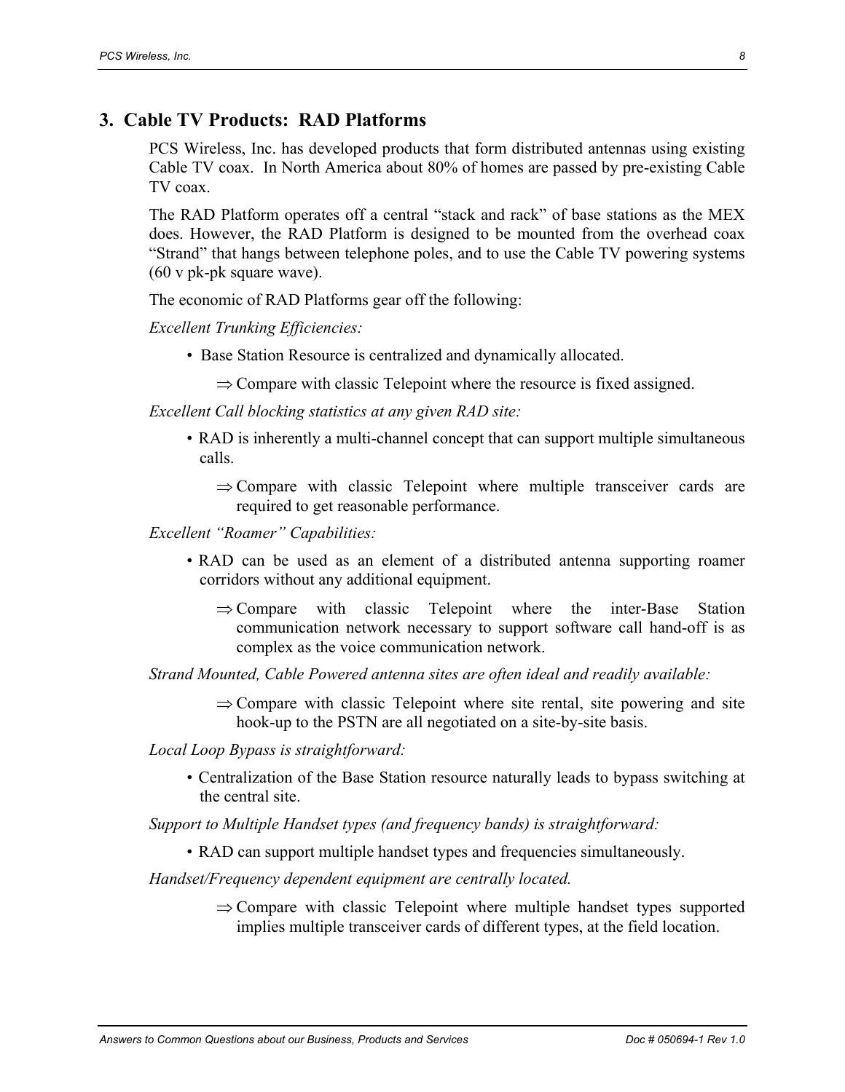#### **3. Cable TV Products: RAD Platforms**

PCS Wireless, Inc. has developed products that form distributed antennas using existing Cable TV coax. In North America about 80% of homes are passed by pre-existing Cable TV coax.

The RAD Platform operates off a central "stack and rack" of base stations as the MEX does. However, the RAD Platform is designed to be mounted from the overhead coax "Strand" that hangs between telephone poles, and to use the Cable TV powering systems (60 v pk-pk square wave).

The economic of RAD Platforms gear off the following:

*Excellent Trunking Efficiencies:* 

- Base Station Resource is centralized and dynamically allocated.
	- $\Rightarrow$  Compare with classic Telepoint where the resource is fixed assigned.

*Excellent Call blocking statistics at any given RAD site:* 

- RAD is inherently a multi-channel concept that can support multiple simultaneous calls.
	- $\Rightarrow$  Compare with classic Telepoint where multiple transceiver cards are required to get reasonable performance.

*Excellent "Roamer" Capabilities:* 

- RAD can be used as an element of a distributed antenna supporting roamer corridors without any additional equipment.
	- $\Rightarrow$  Compare with classic Telepoint where the inter-Base Station communication network necessary to support software call hand-off is as complex as the voice communication network.

*Strand Mounted, Cable Powered antenna sites are often ideal and readily available:* 

 $\Rightarrow$  Compare with classic Telepoint where site rental, site powering and site hook-up to the PSTN are all negotiated on a site-by-site basis.

*Local Loop Bypass is straightforward:* 

• Centralization of the Base Station resource naturally leads to bypass switching at the central site.

*Support to Multiple Handset types (and frequency bands) is straightforward:* 

• RAD can support multiple handset types and frequencies simultaneously.

*Handset/Frequency dependent equipment are centrally located.* 

 $\Rightarrow$  Compare with classic Telepoint where multiple handset types supported implies multiple transceiver cards of different types, at the field location.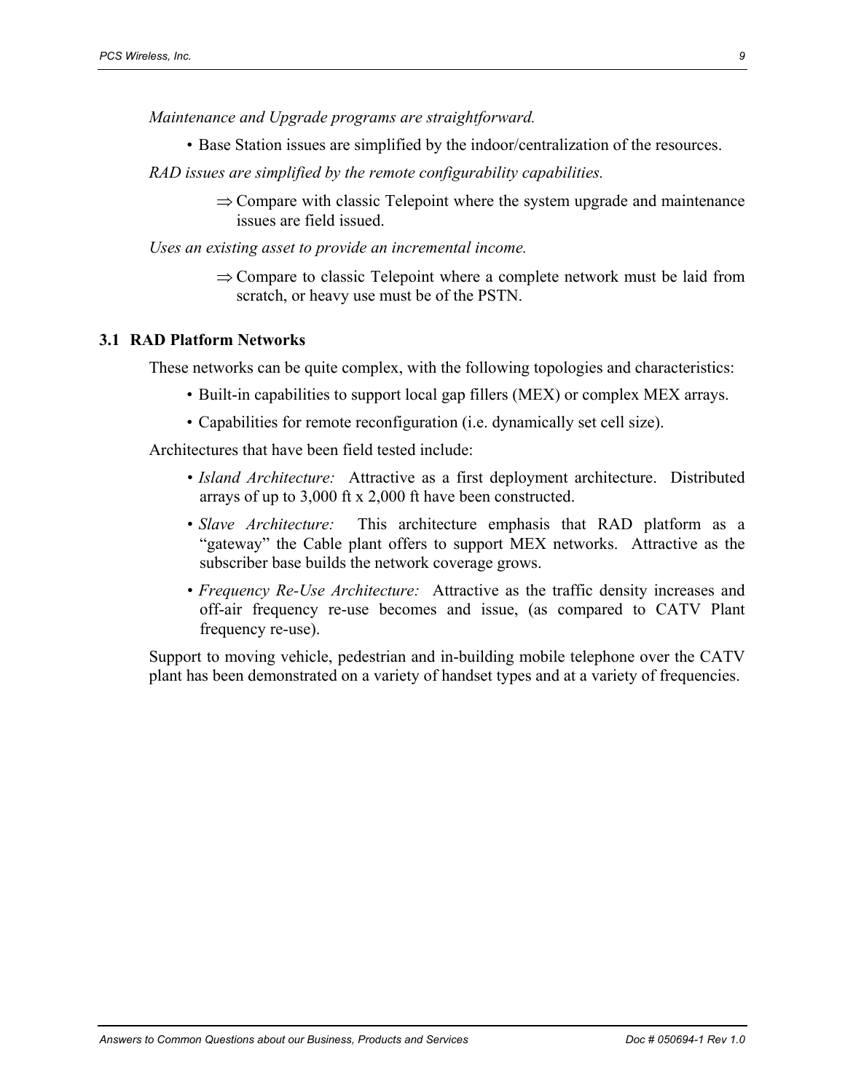*Maintenance and Upgrade programs are straightforward.* 

- Base Station issues are simplified by the indoor/centralization of the resources.
- *RAD issues are simplified by the remote configurability capabilities.* 
	- $\Rightarrow$  Compare with classic Telepoint where the system upgrade and maintenance issues are field issued.

*Uses an existing asset to provide an incremental income.* 

⇒ Compare to classic Telepoint where a complete network must be laid from scratch, or heavy use must be of the PSTN.

#### **3.1 RAD Platform Networks**

These networks can be quite complex, with the following topologies and characteristics:

- Built-in capabilities to support local gap fillers (MEX) or complex MEX arrays.
- Capabilities for remote reconfiguration (i.e. dynamically set cell size).

Architectures that have been field tested include:

- *Island Architecture:* Attractive as a first deployment architecture. Distributed arrays of up to 3,000 ft x 2,000 ft have been constructed.
- *Slave Architecture:* This architecture emphasis that RAD platform as a "gateway" the Cable plant offers to support MEX networks. Attractive as the subscriber base builds the network coverage grows.
- *Frequency Re-Use Architecture:* Attractive as the traffic density increases and off-air frequency re-use becomes and issue, (as compared to CATV Plant frequency re-use).

Support to moving vehicle, pedestrian and in-building mobile telephone over the CATV plant has been demonstrated on a variety of handset types and at a variety of frequencies.